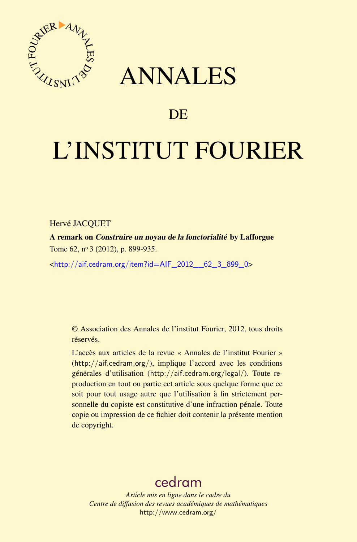

## ANNALES

## **DE**

# L'INSTITUT FOURIER

#### Hervé JACQUET

A remark on Construire un noyau de la fonctorialité by Lafforgue Tome 62, nº 3 (2012), p. 899-935.

<[http://aif.cedram.org/item?id=AIF\\_2012\\_\\_62\\_3\\_899\\_0](http://aif.cedram.org/item?id=AIF_2012__62_3_899_0)>

© Association des Annales de l'institut Fourier, 2012, tous droits réservés.

L'accès aux articles de la revue « Annales de l'institut Fourier » (<http://aif.cedram.org/>), implique l'accord avec les conditions générales d'utilisation (<http://aif.cedram.org/legal/>). Toute reproduction en tout ou partie cet article sous quelque forme que ce soit pour tout usage autre que l'utilisation à fin strictement personnelle du copiste est constitutive d'une infraction pénale. Toute copie ou impression de ce fichier doit contenir la présente mention de copyright.

## [cedram](http://www.cedram.org/)

*Article mis en ligne dans le cadre du Centre de diffusion des revues académiques de mathématiques* <http://www.cedram.org/>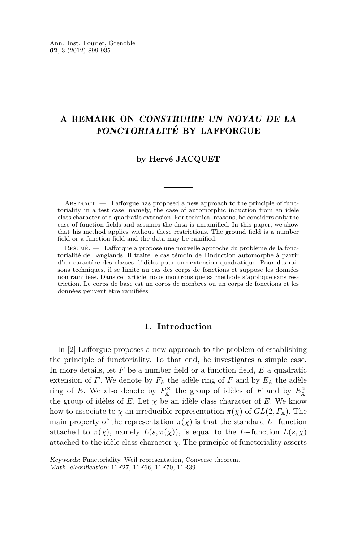### A REMARK ON CONSTRUIRE UN NOYAU DE LA FONCTORIALITÉ BY LAFFORGUE

#### **by Hervé JACQUET**

ABSTRACT. — Lafforgue has proposed a new approach to the principle of functoriality in a test case, namely, the case of automorphic induction from an idele class character of a quadratic extension. For technical reasons, he considers only the case of function fields and assumes the data is unramified. In this paper, we show that his method applies without these restrictions. The ground field is a number field or a function field and the data may be ramified.

Résumé. — Lafforque a proposé une nouvelle approche du problème de la fonctorialité de Langlands. Il traite le cas témoin de l'induction automorphe à partir d'un caractère des classes d'idèles pour une extension quadratique. Pour des raisons techniques, il se limite au cas des corps de fonctions et suppose les données non ramifiées. Dans cet article, nous montrons que sa methode s'applique sans restriction. Le corps de base est un corps de nombres ou un corps de fonctions et les données peuvent être ramifiées.

#### **1. Introduction**

In [\[2\]](#page-37-0) Lafforgue proposes a new approach to the problem of establishing the principle of functoriality. To that end, he investigates a simple case. In more details, let *F* be a number field or a function field, *E* a quadratic extension of  $F$ . We denote by  $F_{\mathbb{A}}$  the adèle ring of  $F$  and by  $E_{\mathbb{A}}$  the adèle ring of *E*. We also denote by  $F_{\mathbb{A}}^{\times}$  the group of idèles of *F* and by  $E_{\mathbb{A}}^{\times}$ the group of idèles of  $E$ . Let  $\chi$  be an idèle class character of  $E$ . We know how to associate to  $\chi$  an irreducible representation  $\pi(\chi)$  of  $GL(2, F<sub>A</sub>)$ . The main property of the representation  $\pi(\chi)$  is that the standard *L*−function attached to  $\pi(\chi)$ , namely  $L(s, \pi(\chi))$ , is equal to the *L*-function  $L(s, \chi)$ attached to the idèle class character  $\chi$ . The principle of functoriality asserts

Keywords: Functoriality, Weil representation, Converse theorem.

Math. classification: 11F27, 11F66, 11F70, 11R39.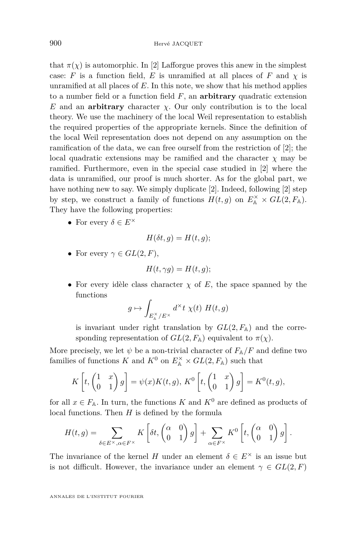that  $\pi(\chi)$  is automorphic. In [\[2\]](#page-37-0) Lafforgue proves this anew in the simplest case: *F* is a function field, *E* is unramified at all places of *F* and  $\chi$  is unramified at all places of *E*. In this note, we show that his method applies to a number field or a function field *F*, an **arbitrary** quadratic extension  $E$  and an **arbitrary** character  $\chi$ . Our only contribution is to the local theory. We use the machinery of the local Weil representation to establish the required properties of the appropriate kernels. Since the definition of the local Weil representation does not depend on any assumption on the ramification of the data, we can free ourself from the restriction of [\[2\]](#page-37-0); the local quadratic extensions may be ramified and the character  $\chi$  may be ramified. Furthermore, even in the special case studied in [\[2\]](#page-37-0) where the data is unramified, our proof is much shorter. As for the global part, we have nothing new to say. We simply duplicate [\[2\]](#page-37-0). Indeed, following [\[2\]](#page-37-0) step by step, we construct a family of functions  $H(t,g)$  on  $E_A^{\times} \times GL(2, F_A)$ . They have the following properties:

• For every  $\delta \in E^{\times}$ 

$$
H(\delta t, g) = H(t, g);
$$

• For every  $\gamma \in GL(2, F)$ ,

$$
H(t,\gamma g) = H(t,g);
$$

• For every idèle class character  $\chi$  of  $E$ , the space spanned by the functions

$$
g \mapsto \int_{E_{\mathbb{A}}^{\times}/E^{\times}} d^{\times} t \ \chi(t) \ H(t, g)
$$

is invariant under right translation by  $GL(2, F<sub>A</sub>)$  and the corresponding representation of  $GL(2, F<sub>A</sub>)$  equivalent to  $\pi(\chi)$ .

More precisely, we let  $\psi$  be a non-trivial character of  $F_{A}/F$  and define two families of functions *K* and  $K^0$  on  $E^{\times}_{\mathbb{A}} \times GL(2, F_{\mathbb{A}})$  such that

$$
K\left[t, \begin{pmatrix} 1 & x \\ 0 & 1 \end{pmatrix} g\right] = \psi(x)K(t, g), \, K^0\left[t, \begin{pmatrix} 1 & x \\ 0 & 1 \end{pmatrix} g\right] = K^0(t, g),
$$

for all  $x \in F_{\mathbb{A}}$ . In turn, the functions *K* and  $K^0$  are defined as products of local functions. Then *H* is defined by the formula

$$
H(t,g) = \sum_{\delta \in E^{\times}, \alpha \in F^{\times}} K\left[\delta t, \begin{pmatrix} \alpha & 0 \\ 0 & 1 \end{pmatrix} g\right] + \sum_{\alpha \in F^{\times}} K^{0}\left[t, \begin{pmatrix} \alpha & 0 \\ 0 & 1 \end{pmatrix} g\right].
$$

The invariance of the kernel *H* under an element  $\delta \in E^{\times}$  is an issue but is not difficult. However, the invariance under an element  $\gamma \in GL(2, F)$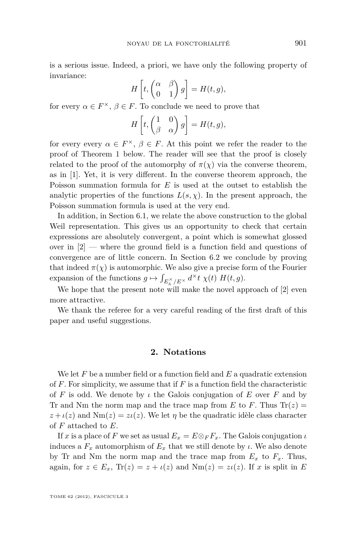is a serious issue. Indeed, a priori, we have only the following property of invariance:

$$
H\left[t, \begin{pmatrix} \alpha & \beta \\ 0 & 1 \end{pmatrix} g\right] = H(t, g),
$$

for every  $\alpha \in F^{\times}, \beta \in F$ . To conclude we need to prove that

$$
H\left[t, \begin{pmatrix} 1 & 0 \\ \beta & \alpha \end{pmatrix} g\right] = H(t, g),
$$

for every every  $\alpha \in F^{\times}, \beta \in F$ . At this point we refer the reader to the proof of Theorem 1 below. The reader will see that the proof is closely related to the proof of the automorphy of  $\pi(\chi)$  via the converse theorem, as in [\[1\]](#page-37-0). Yet, it is very different. In the converse theorem approach, the Poisson summation formula for *E* is used at the outset to establish the analytic properties of the functions  $L(s, \chi)$ . In the present approach, the Poisson summation formula is used at the very end.

In addition, in Section 6.1, we relate the above construction to the global Weil representation. This gives us an opportunity to check that certain expressions are absolutely convergent, a point which is somewhat glossed over in [\[2\]](#page-37-0) — where the ground field is a function field and questions of convergence are of little concern. In Section 6.2 we conclude by proving that indeed  $\pi(\chi)$  is automorphic. We also give a precise form of the Fourier expansion of the functions  $g \mapsto \int_{E_{\mathbb{A}}^{\times}/E^{\times}} d^{\times}t \chi(t) H(t, g)$ .

We hope that the present note will make the novel approach of [\[2\]](#page-37-0) even more attractive.

We thank the referee for a very careful reading of the first draft of this paper and useful suggestions.

#### **2. Notations**

We let *F* be a number field or a function field and *E* a quadratic extension of *F*. For simplicity, we assume that if *F* is a function field the characteristic of *F* is odd. We denote by *ι* the Galois conjugation of *E* over *F* and by Tr and Nm the norm map and the trace map from  $E$  to  $F$ . Thus  $Tr(z)$  $z + i(z)$  and  $Nm(z) = zi(z)$ . We let  $\eta$  be the quadratic idèle class character of *F* attached to *E*.

If *x* is a place of *F* we set as usual  $E_x = E \otimes_F F_x$ . The Galois conjugation *ι* induces a  $F_x$  automorphism of  $E_x$  that we still denote by *ι*. We also denote by Tr and Nm the norm map and the trace map from  $E_x$  to  $F_x$ . Thus, again, for  $z \in E_x$ ,  $\text{Tr}(z) = z + \iota(z)$  and  $\text{Nm}(z) = z\iota(z)$ . If x is split in E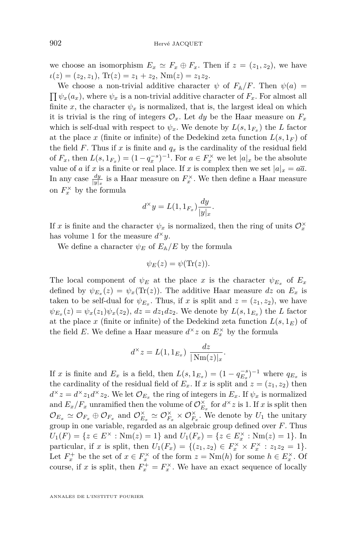we choose an isomorphism  $E_x \simeq F_x \oplus F_x$ . Then if  $z = (z_1, z_2)$ , we have  $\iota(z) = (z_2, z_1), \text{Tr}(z) = z_1 + z_2, \text{Nm}(z) = z_1 z_2.$ 

We choose a non-trivial additive character  $\psi$  of  $F_{\mathbb{A}}/F$ . Then  $\psi(a) =$  $\prod \psi_x(a_x)$ , where  $\psi_x$  is a non-trivial additive character of  $F_x$ . For almost all finite *x*, the character  $\psi_x$  is normalized, that is, the largest ideal on which it is trivial is the ring of integers  $\mathcal{O}_x$ . Let *dy* be the Haar measure on  $F_x$ which is self-dual with respect to  $\psi_x$ . We denote by  $L(s, 1_{F_x})$  the *L* factor at the place *x* (finite or infinite) of the Dedekind zeta function  $L(s, 1<sub>F</sub>)$  of the field *F*. Thus if *x* is finite and  $q_x$  is the cardinality of the residual field of  $F_x$ , then  $L(s, 1_{F_x}) = (1 - q_x^{-s})^{-1}$ . For  $a \in F_x^{\times}$  we let  $|a|_x$  be the absolute value of *a* if *x* is a finite or real place. If *x* is complex then we set  $|a|_x = a\overline{a}$ . In any case  $\frac{dy}{|y|x}$  is a Haar measure on  $F_x^{\times}$ . We then define a Haar measure on  $F_x^{\times}$  by the formula

$$
d^{\times}y = L(1, 1_{F_x}) \frac{dy}{|y|_x}.
$$

If *x* is finite and the character  $\psi_x$  is normalized, then the ring of units  $\mathcal{O}_x^{\times}$ has volume 1 for the measure  $d^{\times}y$ .

We define a character  $\psi_E$  of  $E_A/E$  by the formula

$$
\psi_E(z) = \psi(\text{Tr}(z)).
$$

The local component of  $\psi_E$  at the place *x* is the character  $\psi_{E_x}$  of  $E_x$ defined by  $\psi_{E_x}(z) = \psi_x(\text{Tr}(z))$ . The additive Haar measure dz on  $E_x$  is taken to be self-dual for  $\psi_{E_x}$ . Thus, if *x* is split and  $z = (z_1, z_2)$ , we have  $\psi_{E_x}(z) = \psi_x(z_1)\psi_x(z_2), dz = dz_1 dz_2$ . We denote by  $L(s, 1_{E_x})$  the *L* factor at the place x (finite or infinite) of the Dedekind zeta function  $L(s, 1_E)$  of the field *E*. We define a Haar measure  $d^{\times}z$  on  $E_x^{\times}$  by the formula

$$
d^{\times} z = L(1, 1_{E_x}) \frac{dz}{|\text{Nm}(z)|_x}.
$$

If *x* is finite and  $E_x$  is a field, then  $L(s, 1_{E_x}) = (1 - q_{E_x}^{-s})^{-1}$  where  $q_{E_x}$  is the cardinality of the residual field of  $E_x$ . If *x* is split and  $z = (z_1, z_2)$  then  $d^{\times}z = d^{\times}z_1d^{\times}z_2$ . We let  $\mathcal{O}_{E_x}$  the ring of integers in  $E_x$ . If  $\psi_x$  is normalized and  $E_x/F_x$  unramified then the volume of  $\mathcal{O}_{E_x}^{\times}$  for  $d^{\times}z$  is 1. If *x* is split then  $\mathcal{O}_{E_x} \simeq \mathcal{O}_{F_x} \oplus \mathcal{O}_{F_x}$  and  $\mathcal{O}_{E_x}^{\times} \simeq \mathcal{O}_{F_x}^{\times} \times \mathcal{O}_{F_x}^{\times}$ . We denote by  $U_1$  the unitary group in one variable, regarded as an algebraic group defined over *F*. Thus  $U_1(F) = \{ z \in E^\times : \text{Nm}(z) = 1 \}$  and  $U_1(F_x) = \{ z \in E_x^\times : \text{Nm}(z) = 1 \}$ . In particular, if *x* is split, then  $U_1(F_x) = \{(z_1, z_2) \in F_x^{\times} \times F_x^{\times} : z_1 z_2 = 1\}.$ Let  $F_x^+$  be the set of  $x \in F_x^{\times}$  of the form  $z = \text{Nm}(h)$  for some  $h \in E_x^{\times}$ . Of course, if *x* is split, then  $F_x^+ = F_x^{\times}$ . We have an exact sequence of locally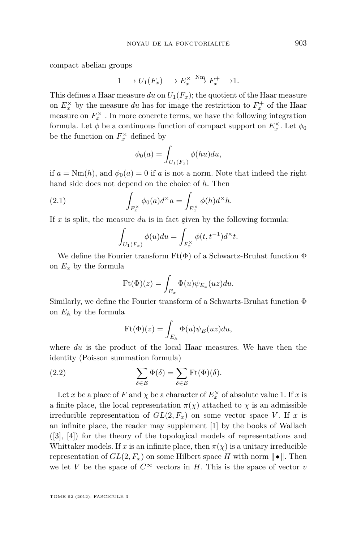<span id="page-5-0"></span>compact abelian groups

$$
1 \longrightarrow U_1(F_x) \longrightarrow E_x^{\times} \stackrel{\text{Nm}}{\longrightarrow} F_x^+ \longrightarrow 1.
$$

This defines a Haar measure  $du$  on  $U_1(F_x)$ ; the quotient of the Haar measure on  $E_x^{\times}$  by the measure *du* has for image the restriction to  $F_x^+$  of the Haar measure on  $F_x^{\times}$  . In more concrete terms, we have the following integration formula. Let  $\phi$  be a continuous function of compact support on  $E_x^{\times}$ . Let  $\phi_0$ be the function on  $F_x^{\times}$  defined by

$$
\phi_0(a) = \int_{U_1(F_x)} \phi(hu) du,
$$

if  $a = Nm(h)$ , and  $\phi_0(a) = 0$  if a is not a norm. Note that indeed the right hand side does not depend on the choice of *h*. Then

(2.1) 
$$
\int_{F_x^{\times}} \phi_0(a) d^{\times} a = \int_{E_x^{\times}} \phi(h) d^{\times} h.
$$

If *x* is split, the measure *du* is in fact given by the following formula:

$$
\int_{U_1(F_x)} \phi(u) du = \int_{F_x^{\times}} \phi(t, t^{-1}) d^{\times} t.
$$

We define the Fourier transform  $Ft(\Phi)$  of a Schwartz-Bruhat function  $\Phi$ on  $E_x$  by the formula

$$
Ft(\Phi)(z) = \int_{E_x} \Phi(u)\psi_{E_x}(uz)du.
$$

Similarly, we define the Fourier transform of a Schwartz-Bruhat function Φ on  $E_{\mathbb{A}}$  by the formula

$$
Ft(\Phi)(z) = \int_{E_{\mathbb{A}}} \Phi(u)\psi_E(uz)du,
$$

where *du* is the product of the local Haar measures. We have then the identity (Poisson summation formula)

(2.2) 
$$
\sum_{\delta \in E} \Phi(\delta) = \sum_{\delta \in E} \text{Ft}(\Phi)(\delta).
$$

Let *x* be a place of *F* and  $\chi$  be a character of  $E_x^{\times}$  of absolute value 1. If *x* is a finite place, the local representation  $\pi(\chi)$  attached to  $\chi$  is an admissible irreducible representation of  $GL(2, F_x)$  on some vector space *V*. If *x* is an infinite place, the reader may supplement [\[1\]](#page-37-0) by the books of Wallach ([\[3\]](#page-37-0), [\[4\]](#page-37-0)) for the theory of the topological models of representations and Whittaker models. If x is an infinite place, then  $\pi(\chi)$  is a unitary irreducible representation of  $GL(2, F_x)$  on some Hilbert space *H* with norm  $\|\bullet\|$ . Then we let *V* be the space of  $C^{\infty}$  vectors in *H*. This is the space of vector *v*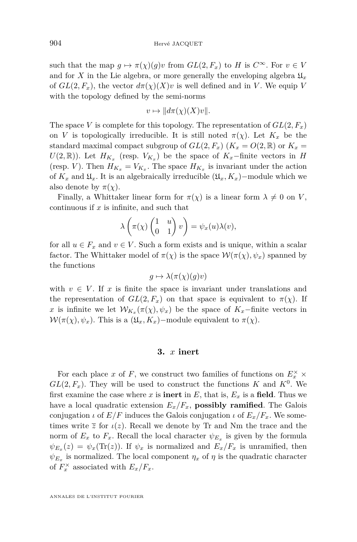such that the map  $g \mapsto \pi(\chi)(g)v$  from  $GL(2, F_x)$  to *H* is  $C^{\infty}$ . For  $v \in V$ and for *X* in the Lie algebra, or more generally the enveloping algebra  $\mathfrak{U}_x$ of  $GL(2, F_x)$ , the vector  $d\pi(\chi)(X)v$  is well defined and in *V*. We equip *V* with the topology defined by the semi-norms

$$
v \mapsto ||d\pi(\chi)(X)v||.
$$

The space *V* is complete for this topology. The representation of  $GL(2, F_x)$ on *V* is topologically irreducible. It is still noted  $\pi(\chi)$ . Let  $K_x$  be the standard maximal compact subgroup of  $GL(2, F_x)$  ( $K_x = O(2, \mathbb{R})$  or  $K_x =$  $U(2,\mathbb{R})$ ). Let  $H_{K_x}$  (resp.  $V_{K_x}$ ) be the space of  $K_x$ -finite vectors in *H* (resp. *V*). Then  $H_{K_x} = V_{K_x}$ . The space  $H_{K_x}$  is invariant under the action of  $K_x$  and  $\mathfrak{U}_x$ . It is an algebraically irreducible  $(\mathfrak{U}_x, K_x)$ −module which we also denote by  $\pi(\chi)$ .

Finally, a Whittaker linear form for  $\pi(\chi)$  is a linear form  $\lambda \neq 0$  on *V*, continuous if *x* is infinite, and such that

$$
\lambda\left(\pi(\chi)\begin{pmatrix}1&u\\0&1\end{pmatrix}v\right)=\psi_x(u)\lambda(v),
$$

for all  $u \in F_x$  and  $v \in V$ . Such a form exists and is unique, within a scalar factor. The Whittaker model of  $\pi(\chi)$  is the space  $\mathcal{W}(\pi(\chi), \psi_x)$  spanned by the functions

$$
g \mapsto \lambda(\pi(\chi)(g)v)
$$

with  $v \in V$ . If x is finite the space is invariant under translations and the representation of  $GL(2, F_x)$  on that space is equivalent to  $\pi(\chi)$ . If *x* is infinite we let  $W_{K_x}(\pi(\chi), \psi_x)$  be the space of  $K_x$ -finite vectors in  $W(\pi(\chi), \psi_x)$ . This is a  $(\mathfrak{U}_x, K_x)$  – module equivalent to  $\pi(\chi)$ .

#### **3.** *x* **inert**

For each place *x* of *F*, we construct two families of functions on  $E_x^{\times}$   $\times$  $GL(2, F_x)$ . They will be used to construct the functions *K* and  $K^0$ . We first examine the case where  $x$  is **inert** in  $E$ , that is,  $E_x$  is a **field**. Thus we have a local quadratic extension  $E_x/F_x$ , **possibly ramified**. The Galois conjugation *ι* of  $E/F$  induces the Galois conjugation *ι* of  $E_x/F_x$ . We sometimes write  $\overline{z}$  for  $\iota(z)$ . Recall we denote by Tr and Nm the trace and the norm of  $E_x$  to  $F_x$ . Recall the local character  $\psi_{E_x}$  is given by the formula  $\psi_{E_x}(z) = \psi_x(\text{Tr}(z))$ . If  $\psi_x$  is normalized and  $E_x/F_x$  is unramified, then  $\psi_{E_x}$  is normalized. The local component  $\eta_x$  of  $\eta$  is the quadratic character of  $F_x^{\times}$  associated with  $E_x/F_x$ .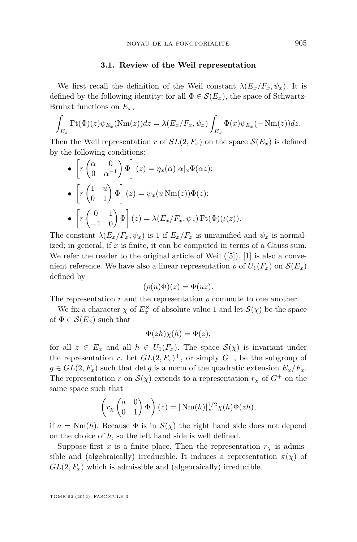#### **3.1. Review of the Weil representation**

We first recall the definition of the Weil constant  $\lambda(E_x/F_x, \psi_x)$ . It is defined by the following identity: for all  $\Phi \in \mathcal{S}(E_x)$ , the space of Schwartz-Bruhat functions on *Ex*,

$$
\int_{E_x} \mathrm{Ft}(\Phi)(z) \psi_{E_x}(\mathrm{Nm}(z)) dz = \lambda(E_x/F_x, \psi_x) \int_{E_x} \Phi(x) \psi_{E_x}(-\mathrm{Nm}(z)) dz.
$$

Then the Weil representation *r* of  $SL(2, F_x)$  on the space  $\mathcal{S}(E_x)$  is defined by the following conditions:

• 
$$
\left[ r \begin{pmatrix} \alpha & 0 \\ 0 & \alpha^{-1} \end{pmatrix} \Phi \right] (z) = \eta_x(\alpha) |\alpha|_x \Phi(\alpha z);
$$
  
\n•  $\left[ r \begin{pmatrix} 1 & u \\ 0 & 1 \end{pmatrix} \Phi \right] (z) = \psi_x(u \operatorname{Nm}(z)) \Phi(z);$   
\n•  $\left[ r \begin{pmatrix} 0 & 1 \\ -1 & 0 \end{pmatrix} \Phi \right] (z) = \lambda (E_x/F_x, \psi_x) \operatorname{Ft}(\Phi)(\iota(z)).$ 

The constant  $\lambda(E_x/F_x, \psi_x)$  is 1 if  $E_x/F_x$  is unramified and  $\psi_x$  is normalized; in general, if *x* is finite, it can be computed in terms of a Gauss sum. We refer the reader to the original article of Weil  $([5])$  $([5])$  $([5])$ . [\[1\]](#page-37-0) is also a convenient reference. We have also a linear representation  $\rho$  of  $U_1(F_x)$  on  $\mathcal{S}(E_x)$ defined by

$$
(\rho(u)\Phi)(z) = \Phi(uz).
$$

The representation  $r$  and the representation  $\rho$  commute to one another.

We fix a character  $\chi$  of  $E_x^{\times}$  of absolute value 1 and let  $\mathcal{S}(\chi)$  be the space of  $\Phi \in \mathcal{S}(E_x)$  such that

$$
\Phi(zh)\chi(h) = \Phi(z),
$$

for all  $z \in E_x$  and all  $h \in U_1(F_x)$ . The space  $\mathcal{S}(\chi)$  is invariant under the representation *r*. Let  $GL(2, F_x)^+$ , or simply  $G^+$ , be the subgroup of  $g \in GL(2, F_x)$  such that det *g* is a norm of the quadratic extension  $E_x/F_x$ . The representation *r* on  $\mathcal{S}(\chi)$  extends to a representation  $r_{\chi}$  of  $G^+$  on the same space such that

$$
\left(r_{\chi}\begin{pmatrix}a&0\\0&1\end{pmatrix}\Phi\right)(z) = |\text{Nm}(h)|_x^{1/2}\chi(h)\Phi(zh),
$$

if  $a = Nm(h)$ . Because  $\Phi$  is in  $\mathcal{S}(\chi)$  the right hand side does not depend on the choice of *h*, so the left hand side is well defined.

Suppose first *x* is a finite place. Then the representation  $r<sub>x</sub>$  is admissible and (algebraically) irreducible. It induces a representation  $\pi(\chi)$  of  $GL(2, F_x)$  which is admissible and (algebraically) irreducible.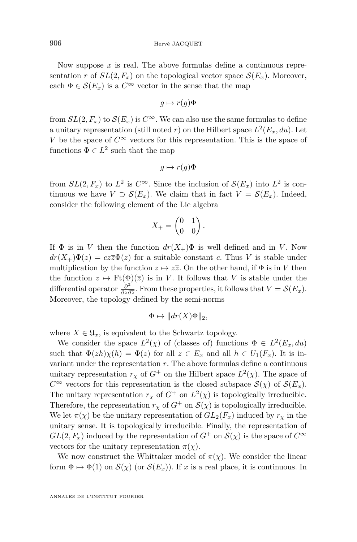Now suppose *x* is real. The above formulas define a continuous representation *r* of  $SL(2, F_x)$  on the topological vector space  $\mathcal{S}(E_x)$ . Moreover, each  $\Phi \in \mathcal{S}(E_x)$  is a  $C^{\infty}$  vector in the sense that the map

$$
g \mapsto r(g)\Phi
$$

from  $SL(2, F_x)$  to  $\mathcal{S}(E_x)$  is  $C^{\infty}$ . We can also use the same formulas to define a unitary representation (still noted  $r$ ) on the Hilbert space  $L^2(E_x, du)$ . Let *V* be the space of  $C^{\infty}$  vectors for this representation. This is the space of functions  $\Phi \in L^2$  such that the map

$$
g \mapsto r(g)\Phi
$$

from  $SL(2, F_x)$  to  $L^2$  is  $C^{\infty}$ . Since the inclusion of  $\mathcal{S}(E_x)$  into  $L^2$  is continuous we have  $V \supset \mathcal{S}(E_x)$ . We claim that in fact  $V = \mathcal{S}(E_x)$ . Indeed, consider the following element of the Lie algebra

$$
X_+ = \begin{pmatrix} 0 & 1 \\ 0 & 0 \end{pmatrix}.
$$

If  $\Phi$  is in *V* then the function  $dr(X_+) \Phi$  is well defined and in *V*. Now  $dr(X_+) \Phi(z) = cz\overline{z} \Phi(z)$  for a suitable constant *c*. Thus *V* is stable under multiplication by the function  $z \mapsto z\overline{z}$ . On the other hand, if  $\Phi$  is in *V* then the function  $z \mapsto \mathrm{Ft}(\Phi)(\overline{z})$  is in *V*. It follows that *V* is stable under the differential operator  $\frac{\partial^2}{\partial z \partial z}$  $\frac{\partial^2}{\partial z \partial \overline{z}}$ . From these properties, it follows that  $V = \mathcal{S}(E_x)$ . Moreover, the topology defined by the semi-norms

$$
\Phi \mapsto ||dr(X)\Phi||_2,
$$

where  $X \in \mathfrak{U}_x$ , is equivalent to the Schwartz topology.

We consider the space  $L^2(\chi)$  of (classes of) functions  $\Phi \in L^2(E_x, du)$ such that  $\Phi(zh)\chi(h) = \Phi(z)$  for all  $z \in E_x$  and all  $h \in U_1(F_x)$ . It is invariant under the representation *r*. The above formulas define a continuous unitary representation  $r<sub>\chi</sub>$  of  $G<sup>+</sup>$  on the Hilbert space  $L<sup>2</sup>(\chi)$ . The space of  $C^{\infty}$  vectors for this representation is the closed subspace  $\mathcal{S}(\chi)$  of  $\mathcal{S}(E_x)$ . The unitary representation  $r<sub>\chi</sub>$  of  $G<sup>+</sup>$  on  $L<sup>2</sup>(\chi)$  is topologically irreducible. Therefore, the representation  $r<sub>x</sub>$  of  $G<sup>+</sup>$  on  $\mathcal{S}(\chi)$  is topologically irreducible. We let  $\pi(\chi)$  be the unitary representation of  $GL_2(F_x)$  induced by  $r_\chi$  in the unitary sense. It is topologically irreducible. Finally, the representation of  $GL(2, F_x)$  induced by the representation of  $G^+$  on  $\mathcal{S}(\chi)$  is the space of  $C^{\infty}$ vectors for the unitary representation  $\pi(\chi)$ .

We now construct the Whittaker model of  $\pi(\chi)$ . We consider the linear form  $\Phi \mapsto \Phi(1)$  on  $\mathcal{S}(\chi)$  (or  $\mathcal{S}(E_x)$ ). If *x* is a real place, it is continuous. In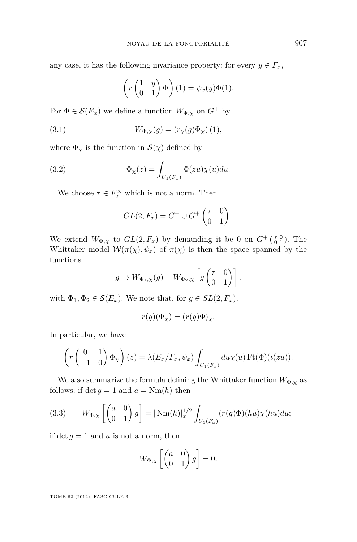any case, it has the following invariance property: for every  $y \in F_x$ ,

$$
\left(r\begin{pmatrix}1&y\\0&1\end{pmatrix}\Phi\right)(1) = \psi_x(y)\Phi(1).
$$

For  $\Phi \in \mathcal{S}(E_x)$  we define a function  $W_{\Phi,\chi}$  on  $G^+$  by

(3.1) 
$$
W_{\Phi,\chi}(g) = (r_{\chi}(g)\Phi_{\chi}) (1),
$$

where  $\Phi_{\chi}$  is the function in  $\mathcal{S}(\chi)$  defined by

(3.2) 
$$
\Phi_{\chi}(z) = \int_{U_1(F_x)} \Phi(zu)\chi(u)du.
$$

We choose  $\tau \in F_x^{\times}$  which is not a norm. Then

$$
GL(2, F_x) = G^+ \cup G^+ \begin{pmatrix} \tau & 0 \\ 0 & 1 \end{pmatrix}.
$$

We extend  $W_{\Phi,\chi}$  to  $GL(2,F_x)$  by demanding it be 0 on  $G^+(\begin{smallmatrix} \tau & 0 \\ 0 & 1 \end{smallmatrix})$ . The Whittaker model  $W(\pi(\chi), \psi_x)$  of  $\pi(\chi)$  is then the space spanned by the functions

$$
g \mapsto W_{\Phi_1,\chi}(g) + W_{\Phi_2,\chi}\left[g\begin{pmatrix} \tau & 0 \\ 0 & 1 \end{pmatrix}\right],
$$

with  $\Phi_1, \Phi_2 \in \mathcal{S}(E_x)$ . We note that, for  $g \in SL(2, F_x)$ ,

$$
r(g)(\Phi_\chi) = (r(g)\Phi)_\chi.
$$

In particular, we have

$$
\left(r\begin{pmatrix}0&1\\-1&0\end{pmatrix}\Phi_{\chi}\right)(z) = \lambda(E_x/F_x,\psi_x)\int_{U_1(F_x)} du\chi(u)\operatorname{Ft}(\Phi)(\iota(zu)).
$$

We also summarize the formula defining the Whittaker function  $W_{\Phi,\chi}$  as follows: if  $\det g = 1$  and  $a = \text{Nm}(h)$  then

(3.3) 
$$
W_{\Phi,\chi}\left[\begin{pmatrix}a&0\\0&1\end{pmatrix}g\right] = |\text{Nm}(h)|_x^{1/2} \int_{U_1(F_x)} (r(g)\Phi)(hu)\chi(hu)du;
$$

if  $\det g = 1$  and *a* is not a norm, then

$$
W_{\Phi,\chi}\left[\begin{pmatrix} a & 0 \\ 0 & 1 \end{pmatrix} g\right] = 0.
$$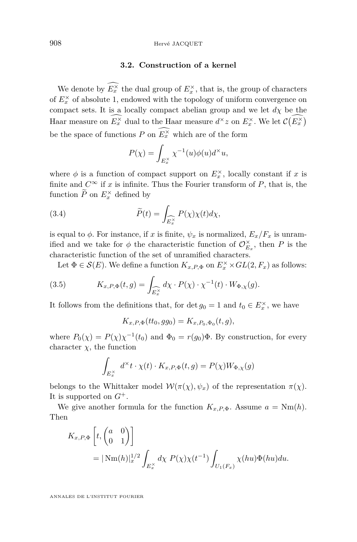#### **3.2. Construction of a kernel**

We denote by  $E_x^{\times}$  the dual group of  $E_x^{\times}$ , that is, the group of characters of  $E_x^{\times}$  of absolute 1, endowed with the topology of uniform convergence on compact sets. It is a locally compact abelian group and we let  $d\chi$  be the Haar measure on  $E_x^{\times}$  dual to the Haar measure  $d^{\times}z$  on  $E_x^{\times}$ . We let  $\mathcal{C}(E_x^{\times})$ be the space of functions  $P$  on  $E_x^{\times}$  which are of the form

$$
P(\chi) = \int_{E_x^{\times}} \chi^{-1}(u)\phi(u)d^{\times}u,
$$

where  $\phi$  is a function of compact support on  $E_x^{\times}$ , locally constant if *x* is finite and  $C^{\infty}$  if *x* is infinite. Thus the Fourier transform of *P*, that is, the function  $\tilde{P}$  on  $E_x^{\times}$  defined by

(3.4) 
$$
\widetilde{P}(t) = \int_{\widehat{E_x^{\times}}} P(\chi) \chi(t) d\chi,
$$

is equal to  $\phi$ . For instance, if *x* is finite,  $\psi_x$  is normalized,  $E_x/F_x$  is unramified and we take for  $\phi$  the characteristic function of  $\mathcal{O}_{E_x}^{\times}$ , then *P* is the characteristic function of the set of unramified characters.

Let  $\Phi \in \mathcal{S}(E)$ . We define a function  $K_{x,P,\Phi}$  on  $E_x^{\times} \times GL(2, F_x)$  as follows:

(3.5) 
$$
K_{x,P,\Phi}(t,g) = \int_{\widehat{E_x^\times}} d\chi \cdot P(\chi) \cdot \chi^{-1}(t) \cdot W_{\Phi,\chi}(g).
$$

It follows from the definitions that, for det  $g_0 = 1$  and  $t_0 \in E_x^{\times}$ , we have

$$
K_{x,P,\Phi}(tt_0,gg_0) = K_{x,P_0,\Phi_0}(t,g),
$$

where  $P_0(\chi) = P(\chi)\chi^{-1}(t_0)$  and  $\Phi_0 = r(g_0)\Phi$ . By construction, for every character  $\chi$ , the function

$$
\int_{E_x^{\times}} d^{\times} t \cdot \chi(t) \cdot K_{x,P,\Phi}(t,g) = P(\chi) W_{\Phi,\chi}(g)
$$

belongs to the Whittaker model  $W(\pi(\chi), \psi_x)$  of the representation  $\pi(\chi)$ . It is supported on  $G^+$ .

We give another formula for the function  $K_{x,P,\Phi}$ . Assume  $a = \text{Nm}(h)$ . Then

$$
K_{x,P,\Phi}\left[t, \begin{pmatrix} a & 0 \\ 0 & 1 \end{pmatrix}\right]
$$
  
=  $|\text{Nm}(h)|_x^{1/2} \int_{E_x^{\times}} d\chi P(\chi) \chi(t^{-1}) \int_{U_1(F_x)} \chi(hu)\Phi(hu)du.$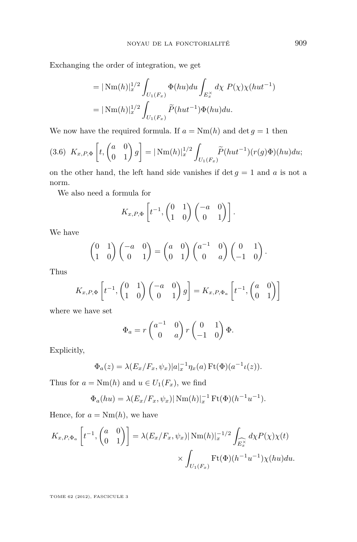<span id="page-11-0"></span>Exchanging the order of integration, we get

= 
$$
|\text{Nm}(h)|_x^{1/2} \int_{U_1(F_x)} \Phi(hu) du \int_{E_x^{\times}} d\chi P(\chi) \chi(hut^{-1})
$$
  
=  $|\text{Nm}(h)|_x^{1/2} \int_{U_1(F_x)} \widetilde{P}(hut^{-1}) \Phi(hu) du.$ 

We now have the required formula. If  $a = Nm(h)$  and  $\det g = 1$  then

$$
(3.6)\ \ K_{x,P,\Phi}\left[t, \begin{pmatrix} a & 0 \\ 0 & 1 \end{pmatrix} g\right] = |\ \mathrm{Nm}(h)|_{x}^{1/2} \int_{U_1(F_x)} \widetilde{P}(hut^{-1})(r(g)\Phi)(hu)du;
$$

on the other hand, the left hand side vanishes if  $\det g = 1$  and a is not a norm.

We also need a formula for

$$
K_{x,P,\Phi}\left[t^{-1},\begin{pmatrix}0&1\\1&0\end{pmatrix}\begin{pmatrix}-a&0\\0&1\end{pmatrix}\right].
$$

We have

$$
\begin{pmatrix} 0 & 1 \\ 1 & 0 \end{pmatrix} \begin{pmatrix} -a & 0 \\ 0 & 1 \end{pmatrix} = \begin{pmatrix} a & 0 \\ 0 & 1 \end{pmatrix} \begin{pmatrix} a^{-1} & 0 \\ 0 & a \end{pmatrix} \begin{pmatrix} 0 & 1 \\ -1 & 0 \end{pmatrix}.
$$

Thus

$$
K_{x,P,\Phi}\left[t^{-1},\begin{pmatrix}0&1\\1&0\end{pmatrix}\begin{pmatrix}-a&0\\0&1\end{pmatrix}g\right]=K_{x,P,\Phi_a}\left[t^{-1},\begin{pmatrix}a&0\\0&1\end{pmatrix}\right]
$$

where we have set

$$
\Phi_a = r \begin{pmatrix} a^{-1} & 0 \\ 0 & a \end{pmatrix} r \begin{pmatrix} 0 & 1 \\ -1 & 0 \end{pmatrix} \Phi.
$$

Explicitly,

$$
\Phi_a(z) = \lambda (E_x/F_x, \psi_x) |a|_x^{-1} \eta_x(a) \operatorname{Ft}(\Phi)(a^{-1} \iota(z)).
$$

Thus for  $a = \text{Nm}(h)$  and  $u \in U_1(F_x)$ , we find

$$
\Phi_a(hu) = \lambda(E_x/F_x, \psi_x) |\text{Nm}(h)|_x^{-1} \text{Ft}(\Phi)(h^{-1}u^{-1}).
$$

Hence, for  $a = \text{Nm}(h)$ , we have

$$
K_{x,P,\Phi_a} \left[ t^{-1}, \begin{pmatrix} a & 0 \\ 0 & 1 \end{pmatrix} \right] = \lambda (E_x/F_x, \psi_x) |\operatorname{Nm}(h)|_x^{-1/2} \int_{\widetilde{E_x^\times}} d\chi P(\chi) \chi(t) \times \int_{U_1(F_x)} \operatorname{Ft}(\Phi)(h^{-1}u^{-1}) \chi(hu) du.
$$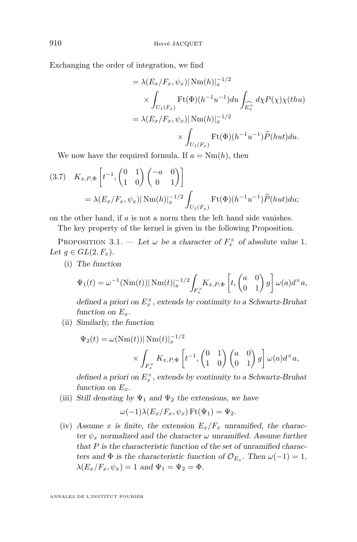<span id="page-12-0"></span>Exchanging the order of integration, we find

$$
= \lambda (E_x/F_x, \psi_x) |\operatorname{Nm}(h)|_x^{-1/2}
$$
  
\n
$$
\times \int_{U_1(F_x)} \operatorname{Ft}(\Phi)(h^{-1}u^{-1}) du \int_{\widehat{E_x^{\times}}} d\chi P(\chi) \chi(thu)
$$
  
\n
$$
= \lambda (E_x/F_x, \psi_x) |\operatorname{Nm}(h)|_x^{-1/2}
$$
  
\n
$$
\times \int_{U_1(F_x)} \operatorname{Ft}(\Phi)(h^{-1}u^{-1}) \widetilde{P}(hut) du.
$$

We now have the required formula. If  $a = Nm(h)$ , then

$$
(3.7) \quad K_{x,P,\Phi}\left[t^{-1}, \begin{pmatrix} 0 & 1 \\ 1 & 0 \end{pmatrix} \begin{pmatrix} -a & 0 \\ 0 & 1 \end{pmatrix}\right]
$$

$$
= \lambda (E_x/F_x, \psi_x) |\operatorname{Nm}(h)|_x^{-1/2} \int_{U_1(F_x)} \operatorname{Ft}(\Phi)(h^{-1}u^{-1}) \widetilde{P}(hut) du;
$$

on the other hand, if *a* is not a norm then the left hand side vanishes.

The key property of the kernel is given in the following Proposition.

PROPOSITION 3.1. — Let  $\omega$  be a character of  $F_x^{\times}$  of absolute value 1. Let  $g \in GL(2, F_x)$ .

(i) The function

$$
\Psi_1(t) = \omega^{-1}(\text{Nm}(t)) |\text{Nm}(t)|_x^{-1/2} \int_{F_x^{\times}} K_{x,P,\Phi}\left[t, \begin{pmatrix} a & 0 \\ 0 & 1 \end{pmatrix} g\right] \omega(a) d^{\times} a,
$$

defined a priori on  $E_x^{\times}$ , extends by continuity to a Schwartz-Bruhat function on  $E_r$ .

(ii) Similarly, the function

$$
\Psi_2(t) = \omega(\text{Nm}(t)) |\text{Nm}(t)|_x^{-1/2}
$$

$$
\times \int_{F_x^{\times}} K_{x,P,\Phi} \left[ t^{-1}, \begin{pmatrix} 0 & 1 \\ 1 & 0 \end{pmatrix} \begin{pmatrix} a & 0 \\ 0 & 1 \end{pmatrix} g \right] \omega(a) d^{\times} a,
$$

defined a priori on  $E_x^{\times}$ , extends by continuity to a Schwartz-Bruhat function on  $E_x$ .

(iii) Still denoting by  $\Psi_1$  and  $\Psi_2$  the extensions, we have

$$
\omega(-1)\lambda(E_x/F_x,\psi_x)\operatorname{Ft}(\Psi_1)=\Psi_2.
$$

(iv) Assume *x* is finite, the extension  $E_x/F_x$  unramified, the character  $\psi_x$  normalized and the character  $\omega$  unramified. Assume further that *P* is the characteristic function of the set of unramified characters and  $\Phi$  is the characteristic function of  $\mathcal{O}_{E_x}$ . Then  $\omega(-1) = 1$ ,  $\lambda(E_x/F_x, \psi_x) = 1$  and  $\Psi_1 = \Psi_2 = \Phi$ .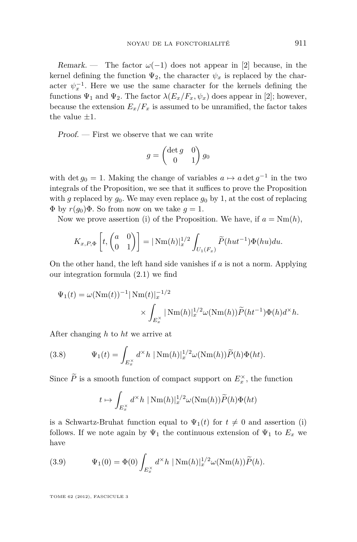Remark. — The factor  $\omega(-1)$  does not appear in [\[2\]](#page-37-0) because, in the kernel defining the function  $\Psi_2$ , the character  $\psi_x$  is replaced by the character  $\psi_x^{-1}$ . Here we use the same character for the kernels defining the functions  $\Psi_1$  and  $\Psi_2$ . The factor  $\lambda(E_x/F_x, \psi_x)$  does appear in [\[2\]](#page-37-0); however, because the extension  $E_x/F_x$  is assumed to be unramified, the factor takes the value  $\pm 1$ .

Proof. — First we observe that we can write

$$
g = \begin{pmatrix} \det g & 0 \\ 0 & 1 \end{pmatrix} g_0
$$

with det  $g_0 = 1$ . Making the change of variables  $a \mapsto a \det g^{-1}$  in the two integrals of the Proposition, we see that it suffices to prove the Proposition with *g* replaced by  $g_0$ . We may even replace  $g_0$  by 1, at the cost of replacing Φ by *r*(*g*0)Φ. So from now on we take *g* = 1.

Now we prove assertion (i) of the Proposition. We have, if  $a = Nm(h)$ ,

$$
K_{x,P,\Phi}\left[t, \begin{pmatrix} a & 0 \\ 0 & 1 \end{pmatrix}\right] = |\operatorname{Nm}(h)|_{x}^{1/2} \int_{U_1(F_x)} \widetilde{P}(hut^{-1})\Phi(hu)du.
$$

On the other hand, the left hand side vanishes if *a* is not a norm. Applying our integration formula [\(2.1\)](#page-5-0) we find

$$
\Psi_1(t) = \omega(\text{Nm}(t))^{-1} |\text{Nm}(t)|_x^{-1/2}
$$

$$
\times \int_{E_x^{\times}} |\text{Nm}(h)|_x^{1/2} \omega(\text{Nm}(h)) \widetilde{P}(ht^{-1}) \Phi(h) d^{\times} h.
$$

After changing *h* to *ht* we arrive at

(3.8) 
$$
\Psi_1(t) = \int_{E_x^{\times}} d^{\times} h \, |\text{Nm}(h)|_x^{1/2} \omega(\text{Nm}(h)) \widetilde{P}(h) \Phi(ht).
$$

Since  $\widetilde{P}$  is a smooth function of compact support on  $E_x^{\times}$ , the function

$$
t \mapsto \int_{E_x^{\times}} d^{\times}h \, |\, \mathrm{Nm}(h)|_x^{1/2} \omega(\mathrm{Nm}(h)) \widetilde{P}(h) \Phi(ht)
$$

is a Schwartz-Bruhat function equal to  $\Psi_1(t)$  for  $t \neq 0$  and assertion (i) follows. If we note again by  $\Psi_1$  the continuous extension of  $\Psi_1$  to  $E_x$  we have

(3.9) 
$$
\Psi_1(0) = \Phi(0) \int_{E_x^{\times}} d^{\times} h \, |\mathrm{Nm}(h)|_x^{1/2} \omega(\mathrm{Nm}(h)) \widetilde{P}(h).
$$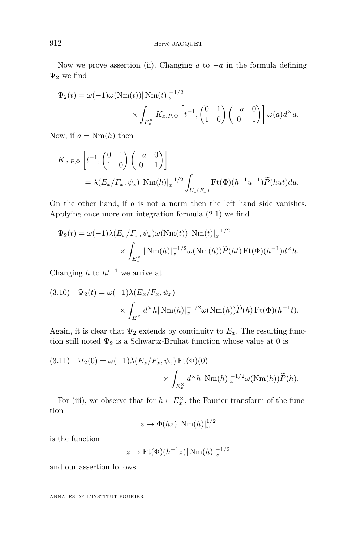Now we prove assertion (ii). Changing *a* to −*a* in the formula defining  $\Psi_2$  we find

$$
\Psi_2(t) = \omega(-1)\omega(\text{Nm}(t))|\text{Nm}(t)|_x^{-1/2}
$$

$$
\times \int_{F_x^\times} K_{x,P,\Phi} \left[ t^{-1}, \begin{pmatrix} 0 & 1 \\ 1 & 0 \end{pmatrix} \begin{pmatrix} -a & 0 \\ 0 & 1 \end{pmatrix} \right] \omega(a)d^\times a.
$$

Now, if  $a = \text{Nm}(h)$  then

$$
K_{x,P,\Phi}\left[t^{-1},\begin{pmatrix}0&1\\1&0\end{pmatrix}\begin{pmatrix}-a&0\\0&1\end{pmatrix}\right]
$$
  
=  $\lambda(E_x/F_x,\psi_x)|\text{Nm}(h)|_x^{-1/2}\int_{U_1(F_x)}\text{Ft}(\Phi)(h^{-1}u^{-1})\widetilde{P}(hut)du.$ 

On the other hand, if *a* is not a norm then the left hand side vanishes. Applying once more our integration formula [\(2.1\)](#page-5-0) we find

$$
\Psi_2(t) = \omega(-1)\lambda(E_x/F_x, \psi_x)\omega(\text{Nm}(t))|\text{Nm}(t)|_x^{-1/2} \times \int_{E_x^{\times}} |\text{Nm}(h)|_x^{-1/2}\omega(\text{Nm}(h))\widetilde{P}(ht)\text{Ft}(\Phi)(h^{-1})d^{\times}h.
$$

Changing *h* to *ht*<sup>−</sup><sup>1</sup> we arrive at

(3.10) 
$$
\Psi_2(t) = \omega(-1)\lambda(E_x/F_x, \psi_x)
$$

$$
\times \int_{E_x^{\times}} d^{\times}h |\text{Nm}(h)|_x^{-1/2}\omega(\text{Nm}(h))\widetilde{P}(h)\text{Ft}(\Phi)(h^{-1}t).
$$

Again, it is clear that  $\Psi_2$  extends by continuity to  $E_x$ . The resulting function still noted  $\Psi_2$  is a Schwartz-Bruhat function whose value at 0 is

(3.11) 
$$
\Psi_2(0) = \omega(-1)\lambda(E_x/F_x, \psi_x) \operatorname{Ft}(\Phi)(0)
$$

$$
\times \int_{E_x^{\times}} d^{\times}h |\operatorname{Nm}(h)|_x^{-1/2} \omega(\operatorname{Nm}(h)) \widetilde{P}(h).
$$

For (iii), we observe that for  $h \in E_x^{\times}$ , the Fourier transform of the function

$$
z\mapsto \Phi(hz)|\operatorname{Nm}(h)|_x^{1/2}
$$

is the function

$$
z \mapsto \mathrm{Ft}(\Phi)(h^{-1}z)|\,\mathrm{Nm}(h)|_x^{-1/2}
$$

and our assertion follows.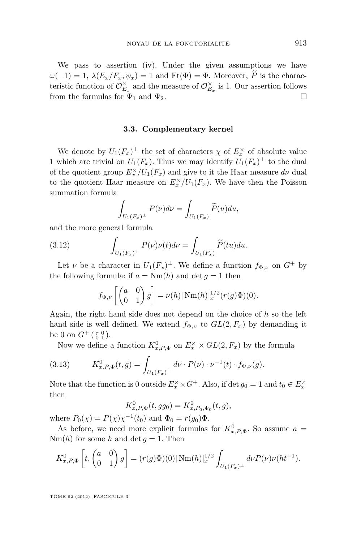<span id="page-15-0"></span>We pass to assertion (iv). Under the given assumptions we have  $\omega(-1) = 1$ ,  $\lambda(E_x/F_x, \psi_x) = 1$  and  $Ft(\Phi) = \Phi$ . Moreover,  $\tilde{P}$  is the characteristic function of  $\mathcal{O}_{E_x}^{\times}$  and the measure of  $\mathcal{O}_{E_x}^{\times}$  is 1. Our assertion follows from the formulas for  $\Psi_1$  and  $\Psi_2$ .

#### **3.3. Complementary kernel**

We denote by  $U_1(F_x)^{\perp}$  the set of characters  $\chi$  of  $E_x^{\times}$  of absolute value 1 which are trivial on  $U_1(F_x)$ . Thus we may identify  $U_1(F_x)^{\perp}$  to the dual of the quotient group  $E_x^{\times}/U_1(F_x)$  and give to it the Haar measure  $d\nu$  dual to the quotient Haar measure on  $E_x^{\times}/U_1(F_x)$ . We have then the Poisson summation formula

$$
\int_{U_1(F_x)^{\perp}} P(\nu) d\nu = \int_{U_1(F_x)} \widetilde{P}(u) du,
$$

and the more general formula

(3.12) 
$$
\int_{U_1(F_x)^{\perp}} P(\nu)\nu(t)d\nu = \int_{U_1(F_x)} \widetilde{P}(tu)du.
$$

Let *ν* be a character in  $U_1(F_x)^{\perp}$ . We define a function  $f_{\Phi,\nu}$  on  $G^+$  by the following formula: if  $a = Nm(h)$  and  $\det g = 1$  then

$$
f_{\Phi,\nu}\left[\begin{pmatrix}a&0\\0&1\end{pmatrix}g\right]=\nu(h)|\operatorname{Nm}(h)|_x^{1/2}(r(g)\Phi)(0).
$$

Again, the right hand side does not depend on the choice of *h* so the left hand side is well defined. We extend  $f_{\Phi,\nu}$  to  $GL(2,F_x)$  by demanding it be 0 on  $G^+$  ( $_{0}^{\tau}$  0).

Now we define a function  $K_{x,P,\Phi}^0$  on  $E_x^{\times} \times GL(2, F_x)$  by the formula

(3.13) 
$$
K_{x,P,\Phi}^{0}(t,g) = \int_{U_1(F_x)^{\perp}} d\nu \cdot P(\nu) \cdot \nu^{-1}(t) \cdot f_{\Phi,\nu}(g).
$$

Note that the function is 0 outside  $E_x^{\times} \times G^+$ . Also, if det  $g_0 = 1$  and  $t_0 \in E_x^{\times}$ then

$$
K_{x,P,\Phi}^{0}(t,gg_{0})=K_{x,P_{0},\Phi_{0}}^{0}(t,g),
$$

where  $P_0(\chi) = P(\chi)\chi^{-1}(t_0)$  and  $\Phi_0 = r(g_0)\Phi$ .

As before, we need more explicit formulas for  $K_{x,P,\Phi}^0$ . So assume  $a =$  $Nm(h)$  for some *h* and det  $q = 1$ . Then

$$
K_{x,P,\Phi}^{0}\left[t, \begin{pmatrix} a & 0 \\ 0 & 1 \end{pmatrix} g\right] = (r(g)\Phi)(0)| \operatorname{Nm}(h)|_{x}^{1/2} \int_{U_{1}(F_{x})^{\perp}} d\nu P(\nu) \nu(ht^{-1}).
$$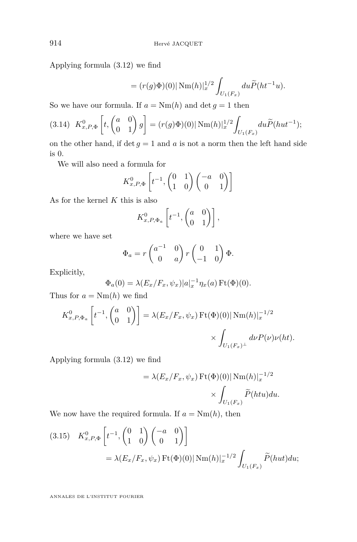<span id="page-16-0"></span>Applying formula [\(3.12\)](#page-15-0) we find

$$
= (r(g)\Phi)(0)| \,\mathrm{Nm}(h)|_{x}^{1/2} \int_{U_1(F_x)} du \widetilde{P}(ht^{-1}u).
$$

So we have our formula. If  $a = Nm(h)$  and  $\det g = 1$  then

$$
(3.14) \ K_{x,P,\Phi}^{0}\left[t, \begin{pmatrix} a & 0 \\ 0 & 1 \end{pmatrix} g\right] = (r(g)\Phi)(0)| \ \mathrm{Nm}(h)|_{x}^{1/2} \int_{U_1(F_x)} du \widetilde{P}(hut^{-1});
$$

on the other hand, if  $\det g = 1$  and  $a$  is not a norm then the left hand side is 0.

We will also need a formula for

$$
K_{x,P,\Phi}^{0}\left[t^{-1},\begin{pmatrix}0&1\\1&0\end{pmatrix}\begin{pmatrix}-a&0\\0&1\end{pmatrix}\right]
$$

As for the kernel *K* this is also

$$
K_{x,P,\Phi_a}^0 \left[ t^{-1}, \begin{pmatrix} a & 0 \\ 0 & 1 \end{pmatrix} \right],
$$

where we have set

$$
\Phi_a = r \begin{pmatrix} a^{-1} & 0 \\ 0 & a \end{pmatrix} r \begin{pmatrix} 0 & 1 \\ -1 & 0 \end{pmatrix} \Phi.
$$

Explicitly,

$$
\Phi_a(0) = \lambda(E_x/F_x, \psi_x)|a|_x^{-1} \eta_x(a) \operatorname{Ft}(\Phi)(0).
$$

Thus for  $a = Nm(h)$  we find

$$
K_{x,P,\Phi_a}^0 \left[ t^{-1}, \begin{pmatrix} a & 0 \\ 0 & 1 \end{pmatrix} \right] = \lambda (E_x/F_x, \psi_x) \operatorname{Ft}(\Phi)(0) |\operatorname{Nm}(h)|_x^{-1/2}
$$

$$
\times \int_{U_1(F_x)^\perp} d\nu P(\nu) \nu(ht).
$$

Applying formula [\(3.12\)](#page-15-0) we find

$$
= \lambda(E_x/F_x, \psi_x) \operatorname{Ft}(\Phi)(0) |\operatorname{Nm}(h)|_x^{-1/2}
$$

$$
\times \int_{U_1(F_x)} \widetilde{P}(htu) du.
$$

We now have the required formula. If  $a = Nm(h)$ , then

(3.15) 
$$
K_{x,P,\Phi}^{0}\left[t^{-1},\begin{pmatrix}0&1\\1&0\end{pmatrix}\begin{pmatrix}-a&0\\0&1\end{pmatrix}\right]
$$

$$
= \lambda(E_x/F_x,\psi_x)\operatorname{Ft}(\Phi)(0)|\operatorname{Nm}(h)|_x^{-1/2}\int_{U_1(F_x)}\widetilde{P}(hut)du;
$$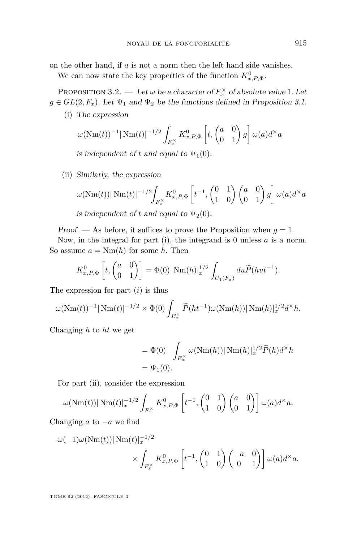on the other hand, if *a* is not a norm then the left hand side vanishes.

We can now state the key properties of the function  $K^0_{x,P,\Phi}$ .

PROPOSITION 3.2. — Let  $\omega$  be a character of  $F_x^{\times}$  of absolute value 1. Let  $g \in GL(2, F_x)$ . Let  $\Psi_1$  and  $\Psi_2$  be the functions defined in Proposition [3.1.](#page-12-0)

(i) The expression

$$
\omega(\text{Nm}(t))^{-1}|\text{Nm}(t)|^{-1/2}\int_{F_x^{\times}}K_{x,P,\Phi}^0\left[t,\begin{pmatrix}a&0\\0&1\end{pmatrix}g\right]\omega(a)d^\times a
$$

is independent of t and equal to  $\Psi_1(0)$ .

(ii) Similarly, the expression

$$
\omega(\text{Nm}(t))|\,\text{Nm}(t)|^{-1/2}\int_{F_x^\times} K_{x,P,\Phi}^0\left[t^{-1},\begin{pmatrix}0&1\\1&0\end{pmatrix}\begin{pmatrix}a&0\\0&1\end{pmatrix}g\right]\omega(a)d^\times a
$$

is independent of t and equal to  $\Psi_2(0)$ .

Proof. — As before, it suffices to prove the Proposition when  $q = 1$ .

Now, in the integral for part (i), the integrand is 0 unless *a* is a norm. So assume  $a = Nm(h)$  for some h. Then

$$
K_{x,P,\Phi}^0\left[t, \begin{pmatrix} a & 0 \\ 0 & 1 \end{pmatrix}\right] = \Phi(0) |\operatorname{Nm}(h)|_x^{1/2} \int_{U_1(F_x)} du \widetilde{P}(hut^{-1}).
$$

The expression for part (*i*) is thus

$$
\omega(\text{Nm}(t))^{-1}|\text{Nm}(t)|^{-1/2} \times \Phi(0) \int_{E_x^{\times}} \widetilde{P}(ht^{-1}) \omega(\text{Nm}(h)) |\text{Nm}(h)|_x^{1/2} d^{\times} h.
$$

Changing *h* to *ht* we get

$$
= \Phi(0) \int_{E_x^{\times}} \omega(\text{Nm}(h)) |\text{Nm}(h)|_x^{1/2} \widetilde{P}(h) d^{\times} h
$$
  
=  $\Psi_1(0)$ .

For part (ii), consider the expression

$$
\omega(\text{Nm}(t))|\,\text{Nm}(t)|_x^{-1/2}\int_{F_x^{\times}}K_{x,P,\Phi}^0\left[t^{-1},\begin{pmatrix}0&1\\1&0\end{pmatrix}\begin{pmatrix}a&0\\0&1\end{pmatrix}\right]\omega(a)d^\times a.
$$

Changing *a* to −*a* we find

$$
\omega(-1)\omega(\text{Nm}(t))|\,\text{Nm}(t)|_x^{-1/2} \times \int_{F_x^{\times}} K_{x,P,\Phi}^0\left[t^{-1},\begin{pmatrix}0&1\\1&0\end{pmatrix}\begin{pmatrix}-a&0\\0&1\end{pmatrix}\right]\omega(a)d^\times a.
$$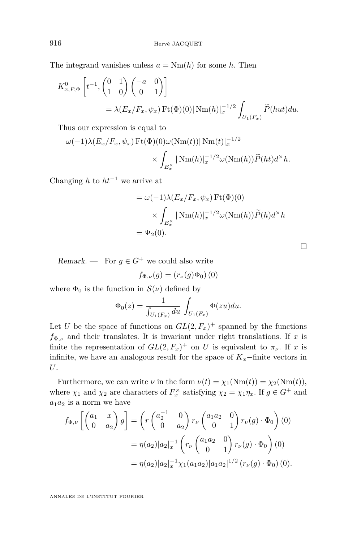The integrand vanishes unless  $a = Nm(h)$  for some *h*. Then

$$
K_{x,P,\Phi}^{0}\left[t^{-1},\begin{pmatrix}0&1\\1&0\end{pmatrix}\begin{pmatrix}-a&0\\0&1\end{pmatrix}\right]
$$
  
=  $\lambda(E_x/F_x,\psi_x)\operatorname{Ft}(\Phi)(0)|\operatorname{Nm}(h)|_x^{-1/2}\int_{U_1(F_x)}\widetilde{P}(hut)du.$ 

Thus our expression is equal to

$$
\omega(-1)\lambda(E_x/F_x, \psi_x) \operatorname{Ft}(\Phi)(0)\omega(\operatorname{Nm}(t))|\operatorname{Nm}(t)|_x^{-1/2} \times \int_{E_x^\times} |\operatorname{Nm}(h)|_x^{-1/2}\omega(\operatorname{Nm}(h))\widetilde{P}(ht)d^\times h.
$$

Changing *h* to *ht*<sup>−</sup><sup>1</sup> we arrive at

$$
= \omega(-1)\lambda(E_x/F_x, \psi_x) \operatorname{Ft}(\Phi)(0)
$$

$$
\times \int_{E_x^{\times}} |\operatorname{Nm}(h)|_x^{-1/2} \omega(\operatorname{Nm}(h)) \widetilde{P}(h) d^{\times} h
$$

$$
= \Psi_2(0).
$$

 $\Box$ 

Remark. — For  $g \in G^+$  we could also write

$$
f_{\Phi,\nu}(g) = (r_{\nu}(g)\Phi_0)\,(0)
$$

where  $\Phi_0$  is the function in  $\mathcal{S}(\nu)$  defined by

$$
\Phi_0(z) = \frac{1}{\int_{U_1(F_x)} du} \int_{U_1(F_x)} \Phi(zu) du.
$$

Let *U* be the space of functions on  $GL(2, F_x)^+$  spanned by the functions  $f_{\Phi,\nu}$  and their translates. It is invariant under right translations. If *x* is finite the representation of  $GL(2, F_x)^+$  on *U* is equivalent to  $\pi_{\nu}$ . If *x* is infinite, we have an analogous result for the space of  $K_x$ −finite vectors in *U*.

Furthermore, we can write  $\nu$  in the form  $\nu(t) = \chi_1(\text{Nm}(t)) = \chi_2(\text{Nm}(t)),$ where  $\chi_1$  and  $\chi_2$  are characters of  $F_x^{\times}$  satisfying  $\chi_2 = \chi_1 \eta_x$ . If  $g \in G^+$  and  $a_1a_2$  is a norm we have

$$
f_{\Phi,\nu}\left[\begin{pmatrix} a_1 & x \\ 0 & a_2 \end{pmatrix}g\right] = \left(r\begin{pmatrix} a_2^{-1} & 0 \\ 0 & a_2 \end{pmatrix}r_{\nu}\begin{pmatrix} a_1a_2 & 0 \\ 0 & 1 \end{pmatrix}r_{\nu}(g) \cdot \Phi_0\right)(0)
$$
  
=  $\eta(a_2)|a_2|_x^{-1}\left(r_{\nu}\begin{pmatrix} a_1a_2 & 0 \\ 0 & 1 \end{pmatrix}r_{\nu}(g) \cdot \Phi_0\right)(0)$   
=  $\eta(a_2)|a_2|_x^{-1}\chi_1(a_1a_2)|a_1a_2|^{1/2}(r_{\nu}(g) \cdot \Phi_0)(0).$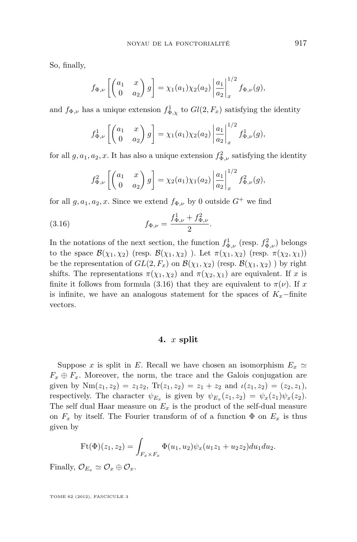So, finally,

$$
f_{\Phi,\nu}\left[\begin{pmatrix} a_1 & x \\ 0 & a_2 \end{pmatrix} g\right] = \chi_1(a_1)\chi_2(a_2) \left|\frac{a_1}{a_2}\right|_x^{1/2} f_{\Phi,\nu}(g),
$$

and  $f_{\Phi,\nu}$  has a unique extension  $f_{\Phi,\chi}^1$  to  $Gl(2, F_x)$  satisfying the identity

$$
f_{\Phi,\nu}^1 \left[ \begin{pmatrix} a_1 & x \\ 0 & a_2 \end{pmatrix} g \right] = \chi_1(a_1) \chi_2(a_2) \left| \frac{a_1}{a_2} \right|_x^{1/2} f_{\Phi,\nu}^1(g),
$$

for all  $g, a_1, a_2, x$ . It has also a unique extension  $f_{\Phi,\nu}^2$  satisfying the identity

$$
f_{\Phi,\nu}^2 \left[ \begin{pmatrix} a_1 & x \\ 0 & a_2 \end{pmatrix} g \right] = \chi_2(a_1) \chi_1(a_2) \left| \frac{a_1}{a_2} \right|_x^{1/2} f_{\Phi,\nu}^2(g),
$$

for all  $g, a_1, a_2, x$ . Since we extend  $f_{\Phi, \nu}$  by 0 outside  $G^+$  we find

(3.16) 
$$
f_{\Phi,\nu} = \frac{f_{\Phi,\nu}^1 + f_{\Phi,\nu}^2}{2}.
$$

In the notations of the next section, the function  $f_{\Phi,\nu}^1$  (resp.  $f_{\Phi,\nu}^2$ ) belongs to the space  $\mathcal{B}(\chi_1, \chi_2)$  (resp.  $\mathcal{B}(\chi_1, \chi_2)$ ). Let  $\pi(\chi_1, \chi_2)$  (resp.  $\pi(\chi_2, \chi_1)$ ) be the representation of  $GL(2, F_x)$  on  $\mathcal{B}(\chi_1, \chi_2)$  (resp.  $\mathcal{B}(\chi_1, \chi_2)$ ) by right shifts. The representations  $\pi(\chi_1, \chi_2)$  and  $\pi(\chi_2, \chi_1)$  are equivalent. If *x* is finite it follows from formula (3.16) that they are equivalent to  $\pi(\nu)$ . If *x* is infinite, we have an analogous statement for the spaces of  $K_x$ −finite vectors.

#### **4.** *x* **split**

Suppose *x* is split in *E*. Recall we have chosen an isomorphism  $E_x \simeq$  $F_x \oplus F_x$ . Moreover, the norm, the trace and the Galois conjugation are given by  $Nm(z_1, z_2) = z_1z_2$ ,  $Tr(z_1, z_2) = z_1 + z_2$  and  $\iota(z_1, z_2) = (z_2, z_1)$ , respectively. The character  $\psi_{E_x}$  is given by  $\psi_{E_x}(z_1, z_2) = \psi_x(z_1)\psi_x(z_2)$ . The self dual Haar measure on  $E_x$  is the product of the self-dual measure on  $F_x$  by itself. The Fourier transform of of a function  $\Phi$  on  $E_x$  is thus given by

$$
Ft(\Phi)(z_1, z_2) = \int_{F_x \times F_x} \Phi(u_1, u_2) \psi_x(u_1 z_1 + u_2 z_2) du_1 du_2.
$$

Finally,  $\mathcal{O}_{E_x} \simeq \mathcal{O}_x \oplus \mathcal{O}_x$ .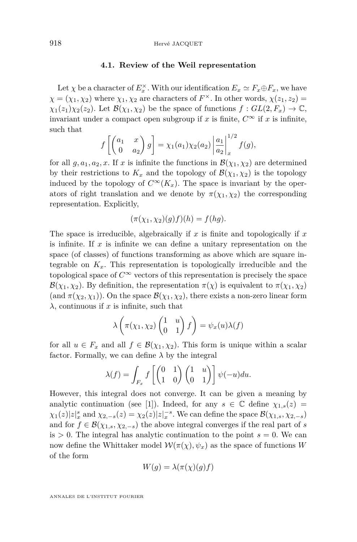#### **4.1. Review of the Weil representation**

Let  $\chi$  be a character of  $E_x^{\times}$ . With our identification  $E_x \simeq F_x \oplus F_x$ , we have  $\chi = (\chi_1, \chi_2)$  where  $\chi_1, \chi_2$  are characters of  $F^{\times}$ . In other words,  $\chi(z_1, z_2)$  =  $\chi_1(z_1)\chi_2(z_2)$ . Let  $\mathcal{B}(\chi_1,\chi_2)$  be the space of functions  $f: GL(2,F_x) \to \mathbb{C}$ , invariant under a compact open subgroup if *x* is finite,  $C^{\infty}$  if *x* is infinite, such that

$$
f\left[\begin{pmatrix} a_1 & x \\ 0 & a_2 \end{pmatrix} g\right] = \chi_1(a_1)\chi_2(a_2) \left|\frac{a_1}{a_2}\right|_x^{1/2} f(g),
$$

for all  $g, a_1, a_2, x$ . If  $x$  is infinite the functions in  $\mathcal{B}(\chi_1, \chi_2)$  are determined by their restrictions to  $K_x$  and the topology of  $\mathcal{B}(\chi_1, \chi_2)$  is the topology induced by the topology of  $C^{\infty}(K_x)$ . The space is invariant by the operators of right translation and we denote by  $\pi(\chi_1, \chi_2)$  the corresponding representation. Explicitly,

$$
(\pi(\chi_1, \chi_2)(g)f)(h) = f(hg).
$$

The space is irreducible, algebraically if *x* is finite and topologically if *x* is infinite. If *x* is infinite we can define a unitary representation on the space (of classes) of functions transforming as above which are square integrable on  $K_x$ . This representation is topologically irreducible and the topological space of  $C^{\infty}$  vectors of this representation is precisely the space  $\mathcal{B}(\chi_1, \chi_2)$ . By definition, the representation  $\pi(\chi)$  is equivalent to  $\pi(\chi_1, \chi_2)$ (and  $\pi(\chi_2, \chi_1)$ ). On the space  $\mathcal{B}(\chi_1, \chi_2)$ , there exists a non-zero linear form  $λ$ , continuous if *x* is infinite, such that

$$
\lambda\left(\pi(\chi_1,\chi_2)\begin{pmatrix}1&u\\0&1\end{pmatrix}f\right)=\psi_x(u)\lambda(f)
$$

for all  $u \in F_x$  and all  $f \in \mathcal{B}(\chi_1, \chi_2)$ . This form is unique within a scalar factor. Formally, we can define  $\lambda$  by the integral

$$
\lambda(f) = \int_{F_x} f\left[\begin{pmatrix} 0 & 1 \\ 1 & 0 \end{pmatrix} \begin{pmatrix} 1 & u \\ 0 & 1 \end{pmatrix} \right] \psi(-u) du.
$$

However, this integral does not converge. It can be given a meaning by analytic continuation (see [\[1\]](#page-37-0)). Indeed, for any  $s \in \mathbb{C}$  define  $\chi_{1,s}(z) =$  $\chi_1(z)|z|_x^s$  and  $\chi_{2,-s}(z) = \chi_2(z)|z|_x^{-s}$ . We can define the space  $\mathcal{B}(\chi_{1,s}, \chi_{2,-s})$ and for  $f \in \mathcal{B}(\chi_{1,s}, \chi_{2,-s})$  the above integral converges if the real part of *s* is  $> 0$ . The integral has analytic continuation to the point  $s = 0$ . We can now define the Whittaker model  $W(\pi(\chi), \psi_x)$  as the space of functions *W* of the form

$$
W(g) = \lambda(\pi(\chi)(g)f)
$$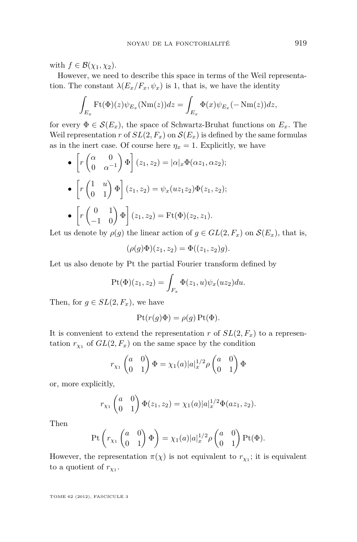with  $f \in \mathcal{B}(\chi_1, \chi_2)$ .

However, we need to describe this space in terms of the Weil representation. The constant  $\lambda(E_x/F_x, \psi_x)$  is 1, that is, we have the identity

$$
\int_{E_x} \mathrm{Ft}(\Phi)(z) \psi_{E_x}(\mathrm{Nm}(z)) dz = \int_{E_x} \Phi(x) \psi_{E_x}(-\mathrm{Nm}(z)) dz,
$$

for every  $\Phi \in \mathcal{S}(E_x)$ , the space of Schwartz-Bruhat functions on  $E_x$ . The Weil representation *r* of  $SL(2, F_x)$  on  $\mathcal{S}(E_x)$  is defined by the same formulas as in the inert case. Of course here  $\eta_x = 1$ . Explicitly, we have

$$
\begin{aligned}\n\bullet \left[ r \begin{pmatrix} \alpha & 0 \\ 0 & \alpha^{-1} \end{pmatrix} \Phi \right] (z_1, z_2) &= |\alpha|_x \Phi(\alpha z_1, \alpha z_2); \\
\bullet \left[ r \begin{pmatrix} 1 & u \\ 0 & 1 \end{pmatrix} \Phi \right] (z_1, z_2) &= \psi_x(uz_1 z_2) \Phi(z_1, z_2); \\
\bullet \left[ r \begin{pmatrix} 0 & 1 \\ -1 & 0 \end{pmatrix} \Phi \right] (z_1, z_2) &= \text{Ft}(\Phi)(z_2, z_1).\n\end{aligned}
$$

Let us denote by  $\rho(g)$  the linear action of  $g \in GL(2, F_x)$  on  $\mathcal{S}(E_x)$ , that is,

$$
(\rho(g)\Phi)(z_1, z_2) = \Phi((z_1, z_2)g).
$$

Let us also denote by Pt the partial Fourier transform defined by

$$
Pt(\Phi)(z_1, z_2) = \int_{F_x} \Phi(z_1, u)\psi_x(uz_2)du.
$$

Then, for  $g \in SL(2, F_x)$ , we have

$$
Pt(r(g)\Phi) = \rho(g) Pt(\Phi).
$$

It is convenient to extend the representation *r* of  $SL(2, F_x)$  to a representation  $r_{\chi_1}$  of  $GL(2, F_x)$  on the same space by the condition

$$
r_{\chi_1}\begin{pmatrix}a&0\\0&1\end{pmatrix}\Phi=\chi_1(a)|a|_x^{1/2}\rho\begin{pmatrix}a&0\\0&1\end{pmatrix}\Phi
$$

or, more explicitly,

$$
r_{\chi_1}\begin{pmatrix}a&0\\0&1\end{pmatrix}\Phi(z_1,z_2)=\chi_1(a)|a|_x^{1/2}\Phi(a z_1,z_2).
$$

Then

$$
\mathrm{Pt}\left(r_{\chi_1}\begin{pmatrix}a&0\\0&1\end{pmatrix}\Phi\right)=\chi_1(a)|a|_x^{1/2}\rho\begin{pmatrix}a&0\\0&1\end{pmatrix}\mathrm{Pt}(\Phi).
$$

However, the representation  $\pi(\chi)$  is not equivalent to  $r_{\chi_1}$ ; it is equivalent to a quotient of  $r_{\chi_1}$ .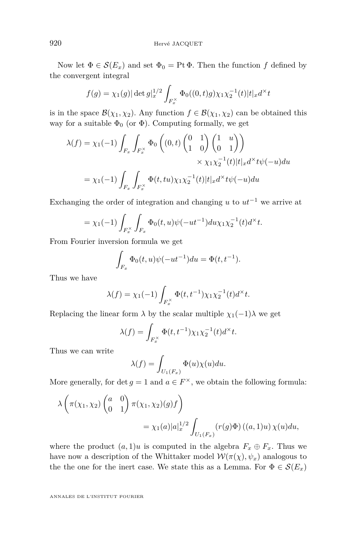Now let  $\Phi \in \mathcal{S}(E_x)$  and set  $\Phi_0 = \text{Pt } \Phi$ . Then the function f defined by the convergent integral

$$
f(g) = \chi_1(g) |\det g|_x^{1/2} \int_{F_x^{\times}} \Phi_0((0, t)g) \chi_1 \chi_2^{-1}(t) |t|_x d^{\times} t
$$

is in the space  $\mathcal{B}(\chi_1, \chi_2)$ . Any function  $f \in \mathcal{B}(\chi_1, \chi_2)$  can be obtained this way for a suitable  $\Phi_0$  (or  $\Phi$ ). Computing formally, we get

$$
\lambda(f) = \chi_1(-1) \int_{F_x} \int_{F_x^{\times}} \Phi_0 \left( (0, t) \begin{pmatrix} 0 & 1 \\ 1 & 0 \end{pmatrix} \begin{pmatrix} 1 & u \\ 0 & 1 \end{pmatrix} \right)
$$

$$
\times \chi_1 \chi_2^{-1}(t) |t|_x d^{\times} t \psi(-u) du
$$

$$
= \chi_1(-1) \int_{F_x} \int_{F_x^{\times}} \Phi(t, tu) \chi_1 \chi_2^{-1}(t) |t|_x d^{\times} t \psi(-u) du
$$

Exchanging the order of integration and changing  $u$  to  $ut^{-1}$  we arrive at

$$
= \chi_1(-1) \int_{F_x^{\times}} \int_{F_x} \Phi_0(t, u) \psi(-ut^{-1}) du \chi_1 \chi_2^{-1}(t) d^{\times} t.
$$

From Fourier inversion formula we get

$$
\int_{F_x} \Phi_0(t, u)\psi(-ut^{-1})du = \Phi(t, t^{-1}).
$$

Thus we have

$$
\lambda(f) = \chi_1(-1) \int_{F_x^{\times}} \Phi(t, t^{-1}) \chi_1 \chi_2^{-1}(t) d^{\times} t.
$$

Replacing the linear form  $\lambda$  by the scalar multiple  $\chi_1(-1)\lambda$  we get

$$
\lambda(f) = \int_{F_x^{\times}} \Phi(t, t^{-1}) \chi_1 \chi_2^{-1}(t) d^{\times} t.
$$

Thus we can write

$$
\lambda(f) = \int_{U_1(F_x)} \Phi(u)\chi(u)du.
$$

More generally, for det  $g = 1$  and  $a \in F^{\times}$ , we obtain the following formula:

$$
\lambda \left( \pi(\chi_1, \chi_2) \begin{pmatrix} a & 0 \\ 0 & 1 \end{pmatrix} \pi(\chi_1, \chi_2)(g) f \right)
$$
  
=  $\chi_1(a) |a|_x^{1/2} \int_{U_1(F_x)} (r(g)\Phi) ((a, 1)u) \chi(u) du$ ,

where the product  $(a, 1)u$  is computed in the algebra  $F_x \oplus F_x$ . Thus we have now a description of the Whittaker model  $W(\pi(\chi), \psi_x)$  analogous to the the one for the inert case. We state this as a Lemma. For  $\Phi \in \mathcal{S}(E_x)$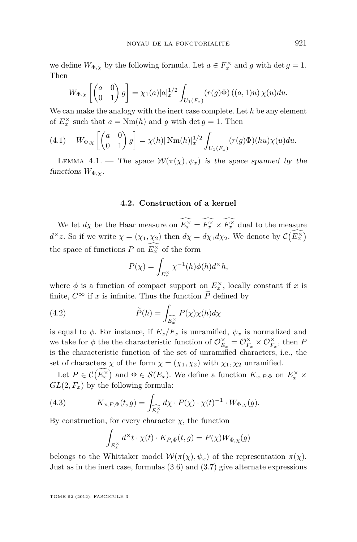we define  $W_{\Phi,\chi}$  by the following formula. Let  $a \in F_x^{\times}$  and  $g$  with  $\det g = 1$ . Then

$$
W_{\Phi,\chi}\left[\begin{pmatrix}a&0\\0&1\end{pmatrix}g\right]=\chi_1(a)|a|_x^{1/2}\int_{U_1(F_x)}(r(g)\Phi)\left((a,1)u\right)\chi(u)du.
$$

We can make the analogy with the inert case complete. Let *h* be any element of  $E_x^{\times}$  such that  $a = \text{Nm}(h)$  and  $g$  with det  $g = 1$ . Then

(4.1) 
$$
W_{\Phi,\chi}\left[\begin{pmatrix} a & 0 \\ 0 & 1 \end{pmatrix} g\right] = \chi(h) |\text{Nm}(h)|_x^{1/2} \int_{U_1(F_x)} (r(g)\Phi)(hu)\chi(u)du.
$$

LEMMA 4.1. — The space  $W(\pi(\chi), \psi_x)$  is the space spanned by the functions  $W_{\Phi,\chi}$ .

#### **4.2. Construction of a kernel**

We let  $d\chi$  be the Haar measure on  $E_x^{\times} = F_x^{\times} \times F_x^{\times}$  dual to the measure  $d^{\times}z$ . So if we write  $\chi = (\chi_1, \chi_2)$  then  $d\chi = d\chi_1 d\chi_2$ . We denote by  $\mathcal{C}(E_x^{\times})$ the space of functions  $P$  on  $E_x^{\times}$  of the form

$$
P(\chi) = \int_{E_x^{\times}} \chi^{-1}(h)\phi(h)d^{\times}h,
$$

where  $\phi$  is a function of compact support on  $E_x^{\times}$ , locally constant if *x* is finite,  $C^{\infty}$  if x is infinite. Thus the function  $\widetilde{P}$  defined by

(4.2) 
$$
\widetilde{P}(h) = \int_{\widehat{E_x^{\times}}} P(\chi) \chi(h) d\chi
$$

is equal to  $\phi$ . For instance, if  $E_x/F_x$  is unramified,  $\psi_x$  is normalized and we take for  $\phi$  the the characteristic function of  $\mathcal{O}_{E_x}^{\times} = \mathcal{O}_{F_x}^{\times} \times \mathcal{O}_{F_x}^{\times}$ , then *P* is the characteristic function of the set of unramified characters, i.e., the set of characters  $\chi$  of the form  $\chi = (\chi_1, \chi_2)$  with  $\chi_1, \chi_2$  unramified.

Let  $P \in \mathcal{C}(E_x^{\times})$  and  $\Phi \in \mathcal{S}(E_x)$ . We define a function  $K_{x,P,\Phi}$  on  $E_x^{\times} \times$  $GL(2, F_x)$  by the following formula:

(4.3) 
$$
K_{x,P,\Phi}(t,g) = \int_{\widehat{E_x^\times}} d\chi \cdot P(\chi) \cdot \chi(t)^{-1} \cdot W_{\Phi,\chi}(g).
$$

By construction, for every character  $\chi$ , the function

$$
\int_{E_x^{\times}} d^{\times} t \cdot \chi(t) \cdot K_{P,\Phi}(t,g) = P(\chi) W_{\Phi,\chi}(g)
$$

belongs to the Whittaker model  $W(\pi(\chi), \psi_x)$  of the representation  $\pi(\chi)$ . Just as in the inert case, formulas [\(3.6\)](#page-11-0) and [\(3.7\)](#page-12-0) give alternate expressions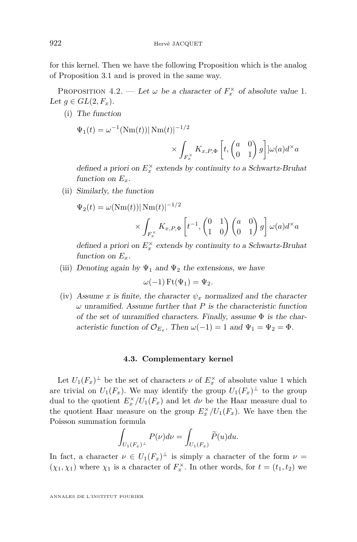for this kernel. Then we have the following Proposition which is the analog of Proposition [3.1](#page-12-0) and is proved in the same way.

PROPOSITION 4.2. — Let  $\omega$  be a character of  $F_x^{\times}$  of absolute value 1. Let  $g \in GL(2, F_x)$ .

(i) The function

$$
\Psi_1(t) = \omega^{-1} (\text{Nm}(t)) |\text{Nm}(t)|^{-1/2}
$$

$$
\times \int_{F_x^\times} K_{x,P,\Phi} \left[ t, \begin{pmatrix} a & 0 \\ 0 & 1 \end{pmatrix} g \right] \omega(a) d^\times a
$$

defined a priori on  $E_x^{\times}$  extends by continuity to a Schwartz-Bruhat function on  $E_x$ .

(ii) Similarly, the function

$$
\Psi_2(t) = \omega(\text{Nm}(t)) |\text{Nm}(t)|^{-1/2}
$$

$$
\times \int_{F_x^{\times}} K_{x,P,\Phi} \left[ t^{-1}, \begin{pmatrix} 0 & 1 \\ 1 & 0 \end{pmatrix} \begin{pmatrix} a & 0 \\ 0 & 1 \end{pmatrix} g \right] \omega(a) d^{\times} a
$$

defined a priori on  $E_x^{\times}$  extends by continuity to a Schwartz-Bruhat function on  $E_x$ .

(iii) Denoting again by  $\Psi_1$  and  $\Psi_2$  the extensions, we have

$$
\omega(-1)\operatorname{Ft}(\Psi_1)=\Psi_2.
$$

(iv) Assume *x* is finite, the character  $\psi_x$  normalized and the character  $\omega$  unramified. Assume further that *P* is the characteristic function of the set of unramified characters. Finally, assume  $\Phi$  is the characteristic function of  $\mathcal{O}_{E_x}$ . Then  $\omega(-1) = 1$  and  $\Psi_1 = \Psi_2 = \Phi$ .

#### **4.3. Complementary kernel**

Let  $U_1(F_x)^{\perp}$  be the set of characters  $\nu$  of  $E_x^{\times}$  of absolute value 1 which are trivial on  $U_1(F_x)$ . We may identify the group  $U_1(F_x)^{\perp}$  to the group dual to the quotient  $E_x^{\times}/U_1(F_x)$  and let  $d\nu$  be the Haar measure dual to the quotient Haar measure on the group  $E_x^{\times}/U_1(F_x)$ . We have then the Poisson summation formula

$$
\int_{U_1(F_x)^{\perp}} P(\nu) d\nu = \int_{U_1(F_x)} \widetilde{P}(u) du.
$$

In fact, a character  $\nu \in U_1(F_x)^{\perp}$  is simply a character of the form  $\nu =$  $(\chi_1, \chi_1)$  where  $\chi_1$  is a character of  $F_x^{\times}$ . In other words, for  $t = (t_1, t_2)$  we

<span id="page-24-0"></span>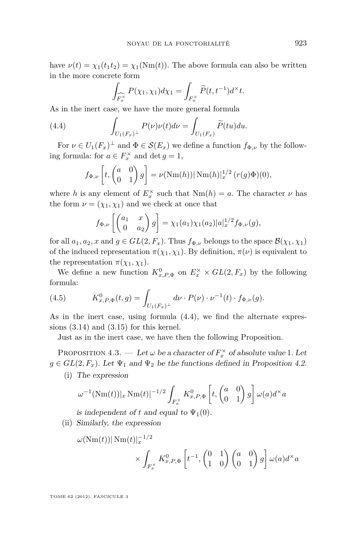have  $\nu(t) = \chi_1(t_1 t_2) = \chi_1(Nm(t))$ . The above formula can also be written in the more concrete form

$$
\int_{\widehat{F_x^\times}} P(\chi_1, \chi_1) d\chi_1 = \int_{F_x^\times} \widetilde{P}(t, t^{-1}) d^\times t.
$$

As in the inert case, we have the more general formula

(4.4) 
$$
\int_{U_1(F_x)^{\perp}} P(\nu)\nu(t)d\nu = \int_{U_1(F_x)} \widetilde{P}(tu)du.
$$

For  $\nu \in U_1(F_x)^{\perp}$  and  $\Phi \in \mathcal{S}(E_x)$  we define a function  $f_{\Phi,\nu}$  by the following formula: for  $a \in F_x^{\times}$  and  $\det g = 1$ ,

$$
f_{\Phi,\nu}\left[t,\begin{pmatrix}a&0\\0&1\end{pmatrix}g\right]=\nu(\text{Nm}(h))|\,\text{Nm}(h)|_x^{1/2}\,(r(g)\Phi)(0),
$$

where *h* is any element of  $E_x^{\times}$  such that  $Nm(h) = a$ . The character  $\nu$  has the form  $\nu = (\chi_1, \chi_1)$  and we check at once that

$$
f_{\Phi,\nu}\left[\begin{pmatrix}a_1&x\\0&a_2\end{pmatrix}g\right]=\chi_1(a_1)\chi_1(a_2)|a|_x^{1/2}f_{\Phi,\nu}(g),
$$

for all  $a_1, a_2, x$  and  $g \in GL(2, F_x)$ . Thus  $f_{\Phi, \nu}$  belongs to the space  $\mathcal{B}(\chi_1, \chi_1)$ of the induced representation  $\pi(\chi_1, \chi_1)$ . By definition,  $\pi(\nu)$  is equivalent to the representation  $\pi(\chi_1, \chi_1)$ .

We define a new function  $K^0_{x,P,\Phi}$  on  $E^{\times}_x \times GL(2, F_x)$  by the following formula:

(4.5) 
$$
K_{x,P,\Phi}^{0}(t,g) = \int_{U_1(F_x)^{\perp}} d\nu \cdot P(\nu) \cdot \nu^{-1}(t) \cdot f_{\Phi,\nu}(g).
$$

As in the inert case, using formula (4.4), we find the alternate expressions [\(3.14\)](#page-16-0) and [\(3.15\)](#page-16-0) for this kernel.

Just as in the inert case, we have then the following Proposition.

PROPOSITION 4.3. — Let  $\omega$  be a character of  $F_x^{\times}$  of absolute value 1. Let  $g \in GL(2, F_x)$ . Let  $\Psi_1$  and  $\Psi_2$  be the functions defined in Proposition [4.2.](#page-24-0)

(i) The expression

$$
\omega^{-1}(\text{Nm}(t))|_{x}\text{Nm}(t)|^{-1/2}\int_{F_x^{\times}}K_{x,P,\Phi}^0\left[t,\begin{pmatrix}a&0\\0&1\end{pmatrix}g\right]\omega(a)d^{\times}a
$$

is independent of t and equal to  $\Psi_1(0)$ .

(ii) Similarly, the expression

$$
\omega(\text{Nm}(t))|\text{Nm}(t)|_x^{-1/2} \times \int_{F_x^{\times}} K_{x,P,\Phi}^0\left[t^{-1},\begin{pmatrix}0&1\\1&0\end{pmatrix}\begin{pmatrix}a&0\\0&1\end{pmatrix}g\right] \omega(a)d^{\times}a
$$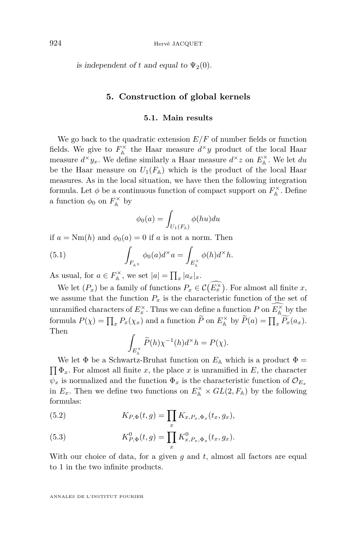<span id="page-26-0"></span>is independent of t and equal to  $\Psi_2(0)$ .

#### **5. Construction of global kernels**

#### **5.1. Main results**

We go back to the quadratic extension  $E/F$  of number fields or function fields. We give to  $F_{\mathbb{A}}^{\times}$  the Haar measure  $d^{\times}y$  product of the local Haar measure  $d^{\times}y_x$ . We define similarly a Haar measure  $d^{\times}z$  on  $E_{\mathbb{A}}^{\times}$ . We let  $du$ be the Haar measure on  $U_1(F_A)$  which is the product of the local Haar measures. As in the local situation, we have then the following integration formula. Let  $\phi$  be a continuous function of compact support on  $F_{\mathbb{A}}^{\times}$ . Define a function  $\phi_0$  on  $F_{\mathbb{A}}^{\times}$  by

$$
\phi_0(a) = \int_{U_1(F_{\mathbb{A}})} \phi(hu) du
$$

if  $a = \text{Nm}(h)$  and  $\phi_0(a) = 0$  if a is not a norm. Then

(5.1) 
$$
\int_{F_{\mathbb{A}^\times}} \phi_0(a) d^\times a = \int_{E_{\mathbb{A}}^\times} \phi(h) d^\times h.
$$

As usual, for  $a \in F_{\mathbb{A}}^{\times}$ , we set  $|a| = \prod_{x} |a_x|_{x}$ .

We let  $(P_x)$  be a family of functions  $P_x \in \mathcal{C}(E_x^{\times})$ . For almost all finite *x*, we assume that the function  $P_x$  is the characteristic function of the set of unramified characters of  $E_x^{\times}$ . Thus we can define a function *P* on  $E_{\mathbb{A}}^{\times}$  by the formula  $P(\chi) = \prod_x P_x(\chi_x)$  and a function  $\widetilde{P}$  on  $E_{\mathbb{A}}^{\times}$  by  $\widetilde{P}(a) = \prod_x \widetilde{P_x}(a_x)$ . Then

$$
\int_{E_{\mathbb{A}}^{\times}} \widetilde{P}(h) \chi^{-1}(h) d^{\times} h = P(\chi).
$$

We let  $\Phi$  be a Schwartz-Bruhat function on  $E_{\mathbb{A}}$  which is a product  $\Phi =$  $\prod \Phi_x$ . For almost all finite *x*, the place *x* is unramified in *E*, the character  $\psi_x$  is normalized and the function  $\Phi_x$  is the characteristic function of  $\mathcal{O}_{E_x}$ in  $E_x$ . Then we define two functions on  $E_A^{\times} \times GL(2, F_A)$  by the following formulas:

(5.2) 
$$
K_{P,\Phi}(t,g) = \prod_{x} K_{x,P_x,\Phi_x}(t_x,g_x),
$$

(5.3) 
$$
K_{P,\Phi}^0(t,g) = \prod_x K_{x,P_x,\Phi_x}^0(t_x,g_x).
$$

With our choice of data, for a given *g* and *t*, almost all factors are equal to 1 in the two infinite products.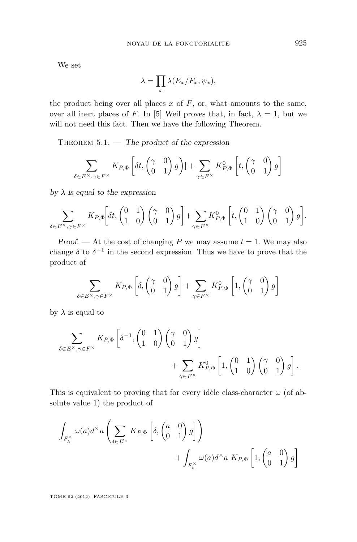We set

$$
\lambda = \prod_x \lambda(E_x/F_x, \psi_x),
$$

the product being over all places  $x$  of  $F$ , or, what amounts to the same, over all inert places of *F*. In [\[5\]](#page-37-0) Weil proves that, in fact,  $\lambda = 1$ , but we will not need this fact. Then we have the following Theorem.

THEOREM  $5.1.$  — The product of the expression

$$
\sum_{\delta \in E^{\times}, \gamma \in F^{\times}} K_{P, \Phi} \left[ \delta t, \begin{pmatrix} \gamma & 0 \\ 0 & 1 \end{pmatrix} g \right) ] + \sum_{\gamma \in F^{\times}} K_{P, \Phi}^{0} \left[ t, \begin{pmatrix} \gamma & 0 \\ 0 & 1 \end{pmatrix} g \right]
$$

by  $\lambda$  is equal to the expression

$$
\sum_{\delta \in E^{\times}, \gamma \in F^{\times}} K_{P, \Phi} \left[ \delta t, \begin{pmatrix} 0 & 1 \\ 1 & 0 \end{pmatrix} \begin{pmatrix} \gamma & 0 \\ 0 & 1 \end{pmatrix} g \right] + \sum_{\gamma \in F^{\times}} K_{P, \Phi}^{0} \left[ t, \begin{pmatrix} 0 & 1 \\ 1 & 0 \end{pmatrix} \begin{pmatrix} \gamma & 0 \\ 0 & 1 \end{pmatrix} g \right].
$$

Proof. — At the cost of changing P we may assume  $t = 1$ . We may also change  $\delta$  to  $\delta^{-1}$  in the second expression. Thus we have to prove that the product of

$$
\sum_{\delta \in E^{\times}, \gamma \in F^{\times}} K_{P, \Phi} \left[ \delta, \begin{pmatrix} \gamma & 0 \\ 0 & 1 \end{pmatrix} g \right] + \sum_{\gamma \in F^{\times}} K_{P, \Phi}^{0} \left[ 1, \begin{pmatrix} \gamma & 0 \\ 0 & 1 \end{pmatrix} g \right]
$$

by  $\lambda$  is equal to

$$
\sum_{\delta \in E^{\times}, \gamma \in F^{\times}} K_{P, \Phi} \left[ \delta^{-1}, \begin{pmatrix} 0 & 1 \\ 1 & 0 \end{pmatrix} \begin{pmatrix} \gamma & 0 \\ 0 & 1 \end{pmatrix} g \right] + \sum_{\gamma \in F^{\times}} K_{P, \Phi}^{0} \left[ 1, \begin{pmatrix} 0 & 1 \\ 1 & 0 \end{pmatrix} \begin{pmatrix} \gamma & 0 \\ 0 & 1 \end{pmatrix} g \right].
$$

This is equivalent to proving that for every idèle class-character  $\omega$  (of absolute value 1) the product of

$$
\int_{F_{\mathbb{A}}^{\times}} \omega(a) d^{\times} a\left(\sum_{\delta \in E^{\times}} K_{P, \Phi}\left[\delta, \begin{pmatrix} a & 0 \\ 0 & 1 \end{pmatrix} g\right]\right) + \int_{F_{\mathbb{A}}^{\times}} \omega(a) d^{\times} a \ K_{P, \Phi}\left[1, \begin{pmatrix} a & 0 \\ 0 & 1 \end{pmatrix} g\right]
$$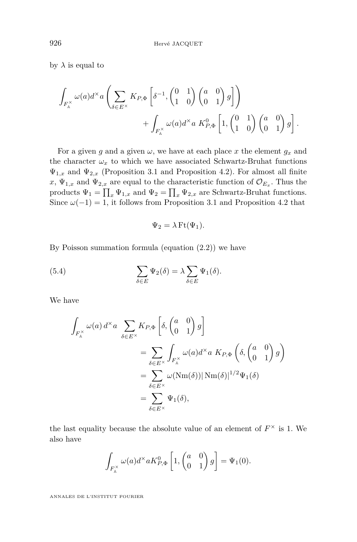<span id="page-28-0"></span>by  $\lambda$  is equal to

$$
\int_{F_{\mathbb{A}}^{\times}} \omega(a) d^{\times} a\left(\sum_{\delta \in E^{\times}} K_{P, \Phi}\left[\delta^{-1}, \begin{pmatrix} 0 & 1 \\ 1 & 0 \end{pmatrix} \begin{pmatrix} a & 0 \\ 0 & 1 \end{pmatrix} g\right]\right) + \int_{F_{\mathbb{A}}^{\times}} \omega(a) d^{\times} a K_{P, \Phi}^{0}\left[1, \begin{pmatrix} 0 & 1 \\ 1 & 0 \end{pmatrix} \begin{pmatrix} a & 0 \\ 0 & 1 \end{pmatrix} g\right].
$$

For a given *g* and a given  $\omega$ , we have at each place *x* the element  $g_x$  and the character  $\omega_x$  to which we have associated Schwartz-Bruhat functions  $\Psi_{1,x}$  and  $\Psi_{2,x}$  (Proposition [3.1](#page-12-0) and Proposition [4.2\)](#page-24-0). For almost all finite  $x, \Psi_{1,x}$  and  $\Psi_{2,x}$  are equal to the characteristic function of  $\mathcal{O}_{E_x}$ . Thus the products  $\Psi_1 = \prod_x \Psi_{1,x}$  and  $\Psi_2 = \prod_x \Psi_{2,x}$  are Schwartz-Bruhat functions. Since  $\omega(-1) = 1$ , it follows from Proposition [3.1](#page-12-0) and Proposition [4.2](#page-24-0) that

$$
\Psi_2 = \lambda \operatorname{Ft}(\Psi_1).
$$

By Poisson summation formula (equation  $(2.2)$ ) we have

(5.4) 
$$
\sum_{\delta \in E} \Psi_2(\delta) = \lambda \sum_{\delta \in E} \Psi_1(\delta).
$$

We have

$$
\int_{F_{\mathbb{A}}^{\times}} \omega(a) d^{\times} a \sum_{\delta \in E^{\times}} K_{P, \Phi} \left[ \delta, \begin{pmatrix} a & 0 \\ 0 & 1 \end{pmatrix} g \right]
$$
  
= 
$$
\sum_{\delta \in E^{\times}} \int_{F_{\mathbb{A}}^{\times}} \omega(a) d^{\times} a K_{P, \Phi} \left( \delta, \begin{pmatrix} a & 0 \\ 0 & 1 \end{pmatrix} g \right)
$$
  
= 
$$
\sum_{\delta \in E^{\times}} \omega(\text{Nm}(\delta)) |\text{Nm}(\delta)|^{1/2} \Psi_1(\delta)
$$
  
= 
$$
\sum_{\delta \in E^{\times}} \Psi_1(\delta),
$$

the last equality because the absolute value of an element of  $F^{\times}$  is 1. We also have

$$
\int_{F_{\mathbb{A}}^{\times}} \omega(a) d^{\times} a K_{P, \Phi}^{0} \left[1, \begin{pmatrix} a & 0 \\ 0 & 1 \end{pmatrix} g\right] = \Psi_1(0).
$$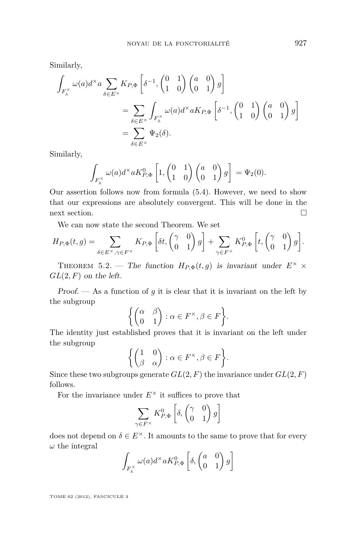Similarly,

$$
\int_{F_{\mathbb{A}}^{\times}} \omega(a) d^{\times} a \sum_{\delta \in E^{\times}} K_{P, \Phi} \left[ \delta^{-1}, \begin{pmatrix} 0 & 1 \\ 1 & 0 \end{pmatrix} \begin{pmatrix} a & 0 \\ 0 & 1 \end{pmatrix} g \right]
$$
  
= 
$$
\sum_{\delta \in E^{\times}} \int_{F_{\mathbb{A}}^{\times}} \omega(a) d^{\times} a K_{P, \Phi} \left[ \delta^{-1}, \begin{pmatrix} 0 & 1 \\ 1 & 0 \end{pmatrix} \begin{pmatrix} a & 0 \\ 0 & 1 \end{pmatrix} g \right]
$$
  
= 
$$
\sum_{\delta \in E^{\times}} \Psi_2(\delta).
$$

Similarly,

$$
\int_{F_{\mathbb{A}}^{\times}} \omega(a) d^{\times} a K_{P,\Phi}^{0} \left[1, \begin{pmatrix} 0 & 1 \\ 1 & 0 \end{pmatrix} \begin{pmatrix} a & 0 \\ 0 & 1 \end{pmatrix} g\right] = \Psi_2(0).
$$

Our assertion follows now from formula [\(5.4\)](#page-28-0). However, we need to show that our expressions are absolutely convergent. This will be done in the next section.

We can now state the second Theorem. We set

$$
H_{P,\Phi}(t,g) = \sum_{\delta \in E^{\times}, \gamma \in F^{\times}} K_{P,\Phi} \left[ \delta t, \begin{pmatrix} \gamma & 0 \\ 0 & 1 \end{pmatrix} g \right] + \sum_{\gamma \in F^{\times}} K_{P,\Phi}^{0} \left[ t, \begin{pmatrix} \gamma & 0 \\ 0 & 1 \end{pmatrix} g \right].
$$

THEOREM 5.2. — The function  $H_{P,\Phi}(t,q)$  is invariant under  $E^{\times}$  × *GL*(2*, F*) on the left.

Proof. — As a function of *g* it is clear that it is invariant on the left by the subgroup

$$
\left\{ \begin{pmatrix} \alpha & \beta \\ 0 & 1 \end{pmatrix} : \alpha \in F^{\times}, \beta \in F \right\}.
$$

The identity just established proves that it is invariant on the left under the subgroup

$$
\left\{ \begin{pmatrix} 1 & 0 \\ \beta & \alpha \end{pmatrix} : \alpha \in F^{\times}, \beta \in F \right\}.
$$

Since these two subgroups generate  $GL(2, F)$  the invariance under  $GL(2, F)$ follows.

For the invariance under  $E^{\times}$  it suffices to prove that

$$
\sum_{\gamma \in F^{\times}} K_{P,\Phi}^{0} \left[ \delta, \begin{pmatrix} \gamma & 0 \\ 0 & 1 \end{pmatrix} g \right]
$$

does not depend on  $\delta \in E^{\times}$ . It amounts to the same to prove that for every *ω* the integral

$$
\int_{F_{\mathbb{A}}^{\times}} \omega(a) d^{\times} a K_{P, \Phi}^{0} \left[ \delta, \begin{pmatrix} a & 0 \\ 0 & 1 \end{pmatrix} g \right]
$$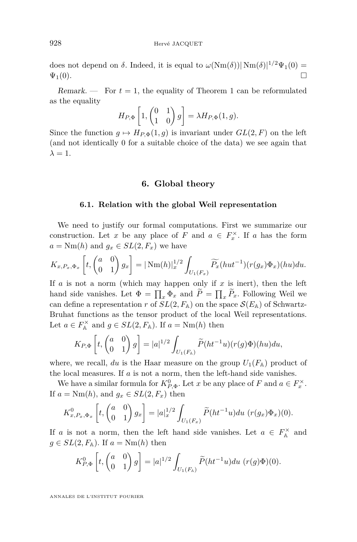does not depend on  $\delta$ . Indeed, it is equal to  $\omega(\text{Nm}(\delta))|\text{Nm}(\delta)|^{1/2}\Psi_1(0)$  =  $\Psi_1(0).$ 

Remark.  $\equiv$  For  $t=1$ , the equality of Theorem 1 can be reformulated as the equality

$$
H_{P,\Phi}\left[1, \begin{pmatrix} 0 & 1 \\ 1 & 0 \end{pmatrix} g\right] = \lambda H_{P,\Phi}(1,g).
$$

Since the function  $g \mapsto H_{P,\Phi}(1,g)$  is invariant under  $GL(2,F)$  on the left (and not identically 0 for a suitable choice of the data) we see again that  $\lambda = 1$ .

#### **6. Global theory**

#### **6.1. Relation with the global Weil representation**

We need to justify our formal computations. First we summarize our construction. Let *x* be any place of *F* and  $a \in F_x^{\times}$ . If *a* has the form  $a = \text{Nm}(h)$  and  $g_x \in SL(2, F_x)$  we have

$$
K_{x,P_x,\Phi_x}\left[t, \begin{pmatrix} a & 0 \\ 0 & 1 \end{pmatrix} g_x\right] = |\operatorname{Nm}(h)|_x^{1/2} \int_{U_1(F_x)} \widetilde{P_x}(hut^{-1}) (r(g_x)\Phi_x)(hu) du.
$$

If *a* is not a norm (which may happen only if *x* is inert), then the left hand side vanishes. Let  $\Phi = \prod_x \Phi_x$  and  $P = \prod_x P_x$ . Following Weil we can define a representation *r* of  $SL(2, F_A)$  on the space  $\mathcal{S}(E_A)$  of Schwartz-Bruhat functions as the tensor product of the local Weil representations. Let  $a \in F_A^{\times}$  and  $g \in SL(2, F_A)$ . If  $a = \text{Nm}(h)$  then

$$
K_{P,\Phi}\left[t, \begin{pmatrix} a & 0 \\ 0 & 1 \end{pmatrix} g\right] = |a|^{1/2} \int_{U_1(F_{\mathbb{A}})} \widetilde{P}(ht^{-1}u)(r(g)\Phi)(hu)du,
$$

where, we recall, du is the Haar measure on the group  $U_1(F_A)$  product of the local measures. If *a* is not a norm, then the left-hand side vanishes.

We have a similar formula for  $K_{P,\Phi}^0$ . Let *x* be any place of *F* and  $a \in F_x^{\times}$ . If  $a = \text{Nm}(h)$ , and  $g_x \in SL(2, F_x)$  then

$$
K_{x,P_x,\Phi_x}^0\left[t,\begin{pmatrix}a&0\\0&1\end{pmatrix}g_x\right] = |a|_x^{1/2}\int_{U_1(F_x)}\widetilde{P}(ht^{-1}u)du\ (r(g_x)\Phi_x)(0).
$$

If *a* is not a norm, then the left hand side vanishes. Let  $a \in F_A^{\times}$  and  $g \in SL(2, F_{\mathbb{A}})$ . If  $a = \text{Nm}(h)$  then

$$
K_{P,\Phi}^0\left[t, \begin{pmatrix} a & 0 \\ 0 & 1 \end{pmatrix} g\right] = |a|^{1/2} \int_{U_1(F_{\mathbb{A}})} \widetilde{P}(ht^{-1}u) du \ (r(g)\Phi)(0).
$$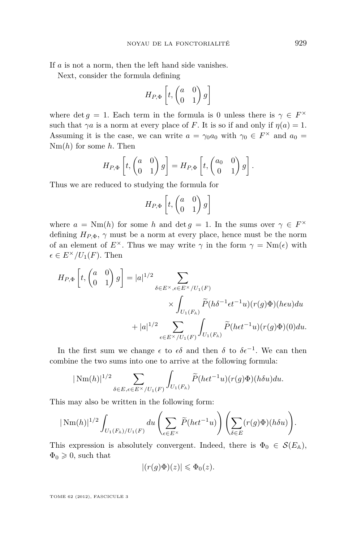If *a* is not a norm, then the left hand side vanishes.

Next, consider the formula defining

$$
H_{P,\Phi}\left[t, \begin{pmatrix} a & 0 \\ 0 & 1 \end{pmatrix} g\right]
$$

where det *g* = 1. Each term in the formula is 0 unless there is  $\gamma \in F^{\times}$ such that  $\gamma a$  is a norm at every place of *F*. It is so if and only if  $\eta(a) = 1$ . Assuming it is the case, we can write  $a = \gamma_0 a_0$  with  $\gamma_0 \in F^\times$  and  $a_0 =$ Nm(*h*) for some *h*. Then

$$
H_{P,\Phi}\left[t, \begin{pmatrix} a & 0 \\ 0 & 1 \end{pmatrix} g\right] = H_{P,\Phi}\left[t, \begin{pmatrix} a_0 & 0 \\ 0 & 1 \end{pmatrix} g\right].
$$

Thus we are reduced to studying the formula for

$$
H_{P,\Phi}\left[t, \begin{pmatrix} a & 0 \\ 0 & 1 \end{pmatrix} g\right]
$$

where  $a = \text{Nm}(h)$  for some *h* and det  $g = 1$ . In the sums over  $\gamma \in F^{\times}$ defining  $H_{P,\Phi}$ ,  $\gamma$  must be a norm at every place, hence must be the norm of an element of  $E^{\times}$ . Thus we may write  $\gamma$  in the form  $\gamma = Nm(\epsilon)$  with  $\epsilon \in E^{\times}/U_1(F)$ . Then

$$
H_{P,\Phi}\left[t, \begin{pmatrix} a & 0 \\ 0 & 1 \end{pmatrix} g\right] = |a|^{1/2} \sum_{\delta \in E^{\times}, \epsilon \in E^{\times}/U_{1}(F)} \times \int_{U_{1}(F_{\mathbb{A}})} \widetilde{P}(h\delta^{-1}\epsilon t^{-1}u)(r(g)\Phi)(heu)du + |a|^{1/2} \sum_{\epsilon \in E^{\times}/U_{1}(F)} \int_{U_{1}(F_{\mathbb{A}})} \widetilde{P}(het^{-1}u)(r(g)\Phi)(0)du.
$$

In the first sum we change  $\epsilon$  to  $\epsilon \delta$  and then  $\delta$  to  $\delta \epsilon^{-1}$ . We can then combine the two sums into one to arrive at the following formula:

$$
|\,\mathrm{Nm}(h)|^{1/2}\sum_{\delta\in E,\epsilon\in E^{\times}/U_{1}(F)}\int_{U_{1}(F_{\mathbb{A}})}\widetilde{P}(h\epsilon t^{-1}u)(r(g)\Phi)(h\delta u)du.
$$

This may also be written in the following form:

$$
|\operatorname{Nm}(h)|^{1/2} \int_{U_1(F_\mathbb{A})/U_1(F)} du \left(\sum_{\epsilon \in E^\times} \widetilde{P}(het^{-1}u)\right) \left(\sum_{\delta \in E} (r(g)\Phi)(h\delta u)\right).
$$

This expression is absolutely convergent. Indeed, there is  $\Phi_0 \in \mathcal{S}(E_\mathbb{A}),$  $\Phi_0 \geq 0$ , such that

$$
|(r(g)\Phi)(z)| \leqslant \Phi_0(z).
$$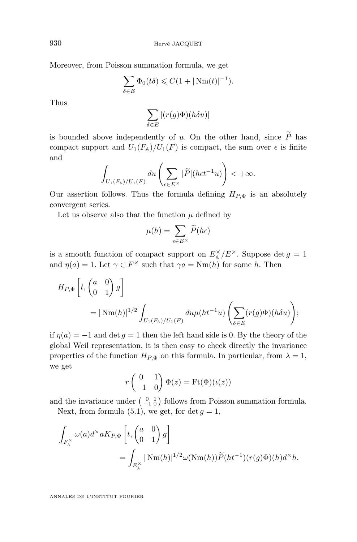Moreover, from Poisson summation formula, we get

$$
\sum_{\delta \in E} \Phi_0(t\delta) \leq C(1 + |\text{Nm}(t)|^{-1}).
$$

Thus

$$
\sum_{\delta \in E} |(r(g)\Phi)(h\delta u)|
$$

is bounded above independently of *u*. On the other hand, since  $\widetilde{P}$  has compact support and  $U_1(F_A)/U_1(F)$  is compact, the sum over  $\epsilon$  is finite and

$$
\int_{U_1(F_\mathbb{A})/U_1(F)} du \left(\sum_{\epsilon \in E^\times} |\widetilde{P}| (h\epsilon t^{-1}u)\right) < +\infty.
$$

Our assertion follows. Thus the formula defining  $H_{P,\Phi}$  is an absolutely convergent series.

Let us observe also that the function  $\mu$  defined by

$$
\mu(h) = \sum_{\epsilon \in E^{\times}} \widetilde{P}(h\epsilon)
$$

is a smooth function of compact support on  $E_{\mathbb{A}}^{\times}/E^{\times}$ . Suppose det  $g = 1$ and  $\eta(a) = 1$ . Let  $\gamma \in F^{\times}$  such that  $\gamma a = Nm(h)$  for some *h*. Then

$$
H_{P,\Phi}\left[t, \begin{pmatrix} a & 0 \\ 0 & 1 \end{pmatrix} g\right]
$$
  
=  $|\text{Nm}(h)|^{1/2} \int_{U_1(F_h)/U_1(F)} du \mu(ht^{-1}u) \left(\sum_{\delta \in E} (r(g)\Phi)(h\delta u)\right);$ 

if  $\eta(a) = -1$  and det  $g = 1$  then the left hand side is 0. By the theory of the global Weil representation, it is then easy to check directly the invariance properties of the function  $H_{P,\Phi}$  on this formula. In particular, from  $\lambda = 1$ , we get

$$
r \begin{pmatrix} 0 & 1 \\ -1 & 0 \end{pmatrix} \Phi(z) = \text{Ft}(\Phi)(\iota(z))
$$

and the invariance under  $\begin{pmatrix} 0 & 1 \\ -1 & 0 \end{pmatrix}$  follows from Poisson summation formula.

Next, from formula  $(5.1)$ , we get, for det  $q = 1$ ,

$$
\int_{F_{\mathbb{A}}^{\times}} \omega(a) d^{\times} a K_{P, \Phi} \left[ t, \begin{pmatrix} a & 0 \\ 0 & 1 \end{pmatrix} g \right]
$$
  
= 
$$
\int_{E_{\mathbb{A}}^{\times}} |\operatorname{Nm}(h)|^{1/2} \omega(\operatorname{Nm}(h)) \widetilde{P}(ht^{-1}) (r(g) \Phi)(h) d^{\times} h.
$$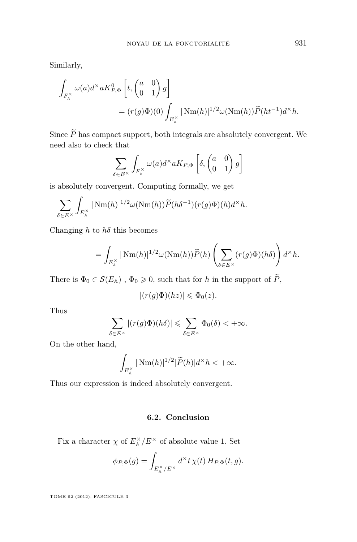Similarly,

$$
\int_{F_{\mathbb{A}}^{\times}} \omega(a) d^{\times} a K_{P,\Phi}^{0} \left[ t, \begin{pmatrix} a & 0 \\ 0 & 1 \end{pmatrix} g \right]
$$
  
=  $(r(g)\Phi)(0) \int_{E_{\mathbb{A}}^{\times}} |\operatorname{Nm}(h)|^{1/2} \omega(\operatorname{Nm}(h)) \widetilde{P}(ht^{-1}) d^{\times} h.$ 

Since  $\widetilde{P}$  has compact support, both integrals are absolutely convergent. We need also to check that

$$
\sum_{\delta \in E^{\times}} \int_{F_{\mathbb{A}}^{\times}} \omega(a) d^{\times} a K_{P, \Phi} \left[ \delta, \begin{pmatrix} a & 0 \\ 0 & 1 \end{pmatrix} g \right]
$$

is absolutely convergent. Computing formally, we get

$$
\sum_{\delta \in E^{\times}} \int_{E_{\mathbb{A}}^{\times}} |\operatorname{Nm}(h)|^{1/2} \omega(\operatorname{Nm}(h)) \widetilde{P}(h\delta^{-1})(r(g)\Phi)(h) d^{\times} h.
$$

Changing *h* to *hδ* this becomes

$$
= \int_{E_{\mathbb{A}}^{\times}} |\operatorname{Nm}(h)|^{1/2} \omega(\operatorname{Nm}(h)) \widetilde{P}(h) \left( \sum_{\delta \in E^{\times}} (r(g)\Phi)(h\delta) \right) d^{\times} h.
$$

There is  $\Phi_0 \in \mathcal{S}(E_\mathbb{A})$ ,  $\Phi_0 \geq 0$ , such that for *h* in the support of  $\widetilde{P}$ ,

$$
|(r(g)\Phi)(hz)| \leq \Phi_0(z).
$$

Thus

$$
\sum_{\delta \in E^{\times}} |(r(g)\Phi)(h\delta)| \leqslant \sum_{\delta \in E^{\times}} \Phi_{0}(\delta) < +\infty.
$$

On the other hand,

$$
\int_{E_{\mathbb{A}}^{\times}} |\operatorname{Nm}(h)|^{1/2}|\widetilde{P}(h)|d^{\times}h < +\infty.
$$

Thus our expression is indeed absolutely convergent.

#### **6.2. Conclusion**

Fix a character  $\chi$  of  $E_{\mathbb{A}}^{\times}/E^{\times}$  of absolute value 1. Set

$$
\phi_{P,\Phi}(g) = \int_{E_{\mathbb{A}}^{\times}/E^{\times}} d^{\times}t \,\chi(t) \, H_{P,\Phi}(t,g).
$$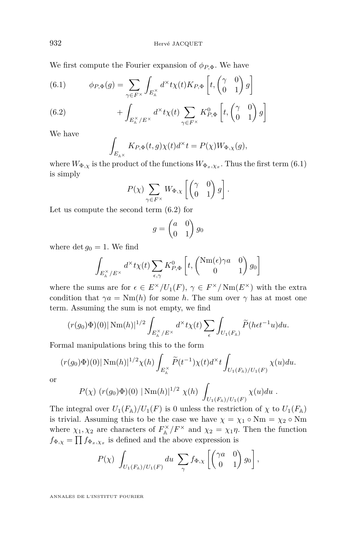We first compute the Fourier expansion of  $\phi_{P,\Phi}$ . We have

(6.1) 
$$
\phi_{P,\Phi}(g) = \sum_{\gamma \in F^\times} \int_{E_A^\times} d^\times t \chi(t) K_{P,\Phi} \left[ t, \begin{pmatrix} \gamma & 0 \\ 0 & 1 \end{pmatrix} g \right]
$$

(6.2) 
$$
+ \int_{E_{\mathbb{A}}^{\times}/E^{\times}} d^{\times} t \chi(t) \sum_{\gamma \in F^{\times}} K_{P,\Phi}^{0} \left[ t, \begin{pmatrix} \gamma & 0 \\ 0 & 1 \end{pmatrix} g \right]
$$

We have

$$
\int_{E_{\mathbb{A}\times}} K_{P,\Phi}(t,g)\chi(t)d^{\times}t = P(\chi)W_{\Phi,\chi}(g),
$$

where  $W_{\Phi,\chi}$  is the product of the functions  $W_{\Phi_x,\chi_x}$ . Thus the first term (6.1) is simply

$$
P(\chi)\sum_{\gamma \in F^{\times}} W_{\Phi,\chi}\left[\begin{pmatrix} \gamma & 0 \\ 0 & 1 \end{pmatrix} g\right].
$$

Let us compute the second term (6.2) for

$$
g = \begin{pmatrix} a & 0 \\ 0 & 1 \end{pmatrix} g_0
$$

where  $\det g_0 = 1$ . We find

$$
\int_{E_{\mathbb{A}}^{\times}/E^{\times}} d^{\times} t \chi(t) \sum_{\epsilon,\gamma} K_{P,\Phi}^{0} \left[ t, \begin{pmatrix} \text{Nm}(\epsilon) \gamma a & 0 \\ 0 & 1 \end{pmatrix} g_0 \right]
$$

where the sums are for  $\epsilon \in E^{\times}/U_1(F)$ ,  $\gamma \in F^{\times}/\text{Nm}(E^{\times})$  with the extra condition that  $\gamma a = Nm(h)$  for some *h*. The sum over  $\gamma$  has at most one term. Assuming the sum is not empty, we find

$$
(r(g_0)\Phi)(0)|\,\mathrm{Nm}(h)|^{1/2}\int_{E_{\mathbb{A}}^\times/E^\times}d^\times t\chi(t)\sum_{\epsilon}\int_{U_1(F_{\mathbb{A}})}\widetilde{P}(h\epsilon t^{-1}u)du.
$$

Formal manipulations bring this to the form

$$
(r(g_0)\Phi)(0)|\,\mathrm{Nm}(h)|^{1/2}\chi(h)\int_{E_{\mathbb{A}}^{\times}}\widetilde{P}(t^{-1})\chi(t)d^{\times}t\int_{U_1(F_{\mathbb{A}})/U_1(F)}\chi(u)du.
$$

or

$$
P(\chi) (r(g_0)\Phi)(0) | Nm(h)|^{1/2} \chi(h) \int_{U_1(F_\mathbb{A})/U_1(F)} \chi(u) du.
$$

The integral over  $U_1(F_\mathbb{A})/U_1(F)$  is 0 unless the restriction of  $\chi$  to  $U_1(F_\mathbb{A})$ is trivial. Assuming this to be the case we have  $\chi = \chi_1 \circ \text{Nm} = \chi_2 \circ \text{Nm}$ where  $\chi_1, \chi_2$  are characters of  $F_{\mathbb{A}}^{\times}/F^{\times}$  and  $\chi_2 = \chi_1 \eta$ . Then the function  $f_{\Phi,\chi} = \prod f_{\Phi_x,\chi_x}$  is defined and the above expression is

$$
P(\chi) \int_{U_1(F_{\mathbb{A}})/U_1(F)} du \sum_{\gamma} f_{\Phi,\chi} \left[ \begin{pmatrix} \gamma a & 0 \\ 0 & 1 \end{pmatrix} g_0 \right],
$$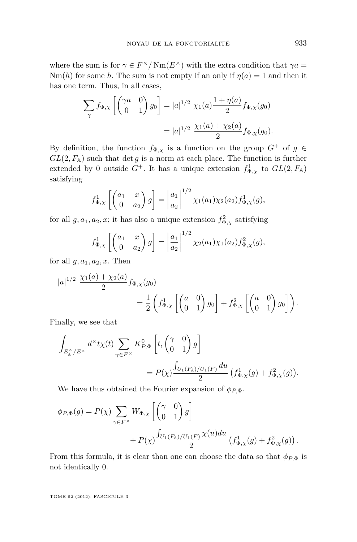where the sum is for  $\gamma \in F^{\times}/\text{Nm}(E^{\times})$  with the extra condition that  $\gamma a =$ Nm(*h*) for some *h*. The sum is not empty if an only if  $\eta(a) = 1$  and then it has one term. Thus, in all cases,

$$
\sum_{\gamma} f_{\Phi,\chi} \left[ \begin{pmatrix} \gamma a & 0 \\ 0 & 1 \end{pmatrix} g_0 \right] = |a|^{1/2} \chi_1(a) \frac{1 + \eta(a)}{2} f_{\Phi,\chi}(g_0)
$$

$$
= |a|^{1/2} \frac{\chi_1(a) + \chi_2(a)}{2} f_{\Phi,\chi}(g_0).
$$

By definition, the function  $f_{\Phi,\chi}$  is a function on the group  $G^+$  of  $g \in$  $GL(2, F<sub>A</sub>)$  such that det *g* is a norm at each place. The function is further extended by 0 outside  $G^+$ . It has a unique extension  $f_{\Phi,\chi}^1$  to  $GL(2,F_\mathbb{A})$ satisfying

$$
f_{\Phi,\chi}^1\left[\begin{pmatrix} a_1 & x \\ 0 & a_2 \end{pmatrix} g\right] = \left|\frac{a_1}{a_2}\right|^{1/2} \chi_1(a_1) \chi_2(a_2) f_{\Phi,\chi}^1(g),
$$

for all  $g, a_1, a_2, x$ ; it has also a unique extension  $f_{\Phi,\chi}^2$  satisfying

$$
f_{\Phi,\chi}^1\left[\begin{pmatrix} a_1 & x \\ 0 & a_2 \end{pmatrix} g\right] = \left|\frac{a_1}{a_2}\right|^{1/2} \chi_2(a_1) \chi_1(a_2) f_{\Phi,\chi}^2(g),
$$

for all  $g, a_1, a_2, x$ . Then

$$
|a|^{1/2} \frac{\chi_1(a) + \chi_2(a)}{2} f_{\Phi,\chi}(g_0)
$$
  
=  $\frac{1}{2} \left( f_{\Phi,\chi}^1 \left[ \begin{pmatrix} a & 0 \\ 0 & 1 \end{pmatrix} g_0 \right] + f_{\Phi,\chi}^2 \left[ \begin{pmatrix} a & 0 \\ 0 & 1 \end{pmatrix} g_0 \right] \right).$ 

Finally, we see that

$$
\begin{split} \int_{E_{\mathbb{A}}^{\times}/E^{\times}} d^{\times}t\chi(t) \sum_{\gamma \in F^{\times}} K_{P,\Phi}^{0}\left[t, \begin{pmatrix} \gamma & 0 \\ 0 & 1 \end{pmatrix}g\right] \\ &= P(\chi) \frac{\int_{U_{1}(F_{\mathbb{A}})/U_{1}(F)} du}{2} \left(f_{\Phi,\chi}^{1}(g) + f_{\Phi,\chi}^{2}(g)\right). \end{split}
$$

We have thus obtained the Fourier expansion of  $\phi_{P,\Phi}$ .

$$
\phi_{P,\Phi}(g) = P(\chi) \sum_{\gamma \in F^{\times}} W_{\Phi,\chi} \left[ \begin{pmatrix} \gamma & 0 \\ 0 & 1 \end{pmatrix} g \right] + P(\chi) \frac{\int_{U_1(F_{\mathbb{A}})/U_1(F)} \chi(u) du}{2} \left( f_{\Phi,\chi}^1(g) + f_{\Phi,\chi}^2(g) \right).
$$

From this formula, it is clear than one can choose the data so that  $\phi_{P,\Phi}$  is not identically 0.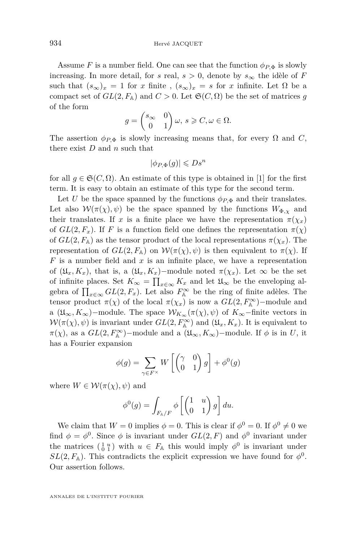Assume *F* is a number field. One can see that the function  $\phi_{P,\Phi}$  is slowly increasing. In more detail, for *s* real,  $s > 0$ , denote by  $s_{\infty}$  the idèle of *F* such that  $(s_{\infty})_x = 1$  for *x* finite ,  $(s_{\infty})_x = s$  for *x* infinite. Let  $\Omega$  be a compact set of  $GL(2, F<sub>A</sub>)$  and  $C > 0$ . Let  $\mathfrak{S}(C, \Omega)$  be the set of matrices *g* of the form

$$
g = \begin{pmatrix} s_{\infty} & 0 \\ 0 & 1 \end{pmatrix} \omega, \ s \geqslant C, \omega \in \Omega.
$$

The assertion  $\phi_{P,\Phi}$  is slowly increasing means that, for every  $\Omega$  and  $C$ , there exist *D* and *n* such that

$$
|\phi_{P,\Phi}(g)| \leqslant D s^n
$$

for all  $q \in \mathfrak{S}(C, \Omega)$ . An estimate of this type is obtained in [\[1\]](#page-37-0) for the first term. It is easy to obtain an estimate of this type for the second term.

Let *U* be the space spanned by the functions  $\phi_{P,\Phi}$  and their translates. Let also  $W(\pi(\chi), \psi)$  be the space spanned by the functions  $W_{\Phi,\chi}$  and their translates. If *x* is a finite place we have the representation  $\pi(\chi_x)$ of  $GL(2, F_x)$ . If *F* is a function field one defines the representation  $\pi(\chi)$ of  $GL(2, F<sub>A</sub>)$  as the tensor product of the local representations  $\pi(\chi_x)$ . The representation of  $GL(2, F_A)$  on  $W(\pi(\chi), \psi)$  is then equivalent to  $\pi(\chi)$ . If *F* is a number field and *x* is an infinite place, we have a representation of  $(\mathfrak{U}_x, K_x)$ , that is, a  $(\mathfrak{U}_x, K_x)$ –module noted  $\pi(\chi_x)$ . Let  $\infty$  be the set of infinite places. Set  $K_{\infty} = \prod_{x \in \infty} K_x$  and let  $\mathfrak{U}_{\infty}$  be the enveloping algebra of  $\prod_{x \in \infty} GL(2, F_x)$ . Let also  $F_A^{\infty}$  be the ring of finite adèles. The tensor product  $\pi(\chi)$  of the local  $\pi(\chi_x)$  is now a  $GL(2, F_\mathbb{A}^\infty)$ -module and a  $(\mathfrak{U}_{\infty}, K_{\infty})$ −module. The space  $\mathcal{W}_{K_{\infty}}(\pi(\chi), \psi)$  of  $K_{\infty}$ −finite vectors in  $W(\pi(\chi), \psi)$  is invariant under  $GL(2, F_A^{\infty})$  and  $(\mathfrak{U}_x, K_x)$ . It is equivalent to  $\pi(\chi)$ , as a  $GL(2, F_A^{\infty})$ –module and a  $(\mathfrak{U}_{\infty}, K_{\infty})$ –module. If  $\phi$  is in *U*, it has a Fourier expansion

$$
\phi(g) = \sum_{\gamma \in F^{\times}} W \left[ \begin{pmatrix} \gamma & 0 \\ 0 & 1 \end{pmatrix} g \right] + \phi^{0}(g)
$$

where  $W \in \mathcal{W}(\pi(\chi), \psi)$  and

$$
\phi^{0}(g) = \int_{F_{\mathbb{A}}/F} \phi \left[ \begin{pmatrix} 1 & u \\ 0 & 1 \end{pmatrix} g \right] du.
$$

We claim that  $W = 0$  implies  $\phi = 0$ . This is clear if  $\phi^0 = 0$ . If  $\phi^0 \neq 0$  we find  $\phi = \phi^0$ . Since  $\phi$  is invariant under  $GL(2, F)$  and  $\phi^0$  invariant under the matrices  $\begin{pmatrix} 1 & u \\ 0 & 1 \end{pmatrix}$  with  $u \in F_{\mathbb{A}}$  this would imply  $\phi^0$  is invariant under  $SL(2, F<sub>A</sub>)$ . This contradicts the explicit expression we have found for  $\phi^0$ . Our assertion follows.